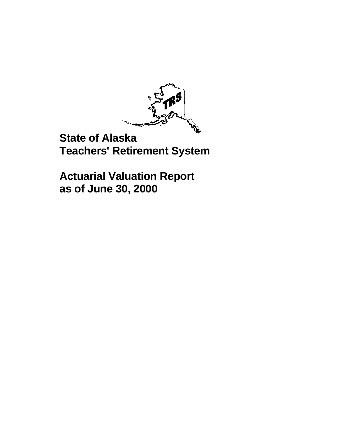

## **State of Alaska Teachers' Retirement System**

**Actuarial Valuation Report as of June 30, 2000**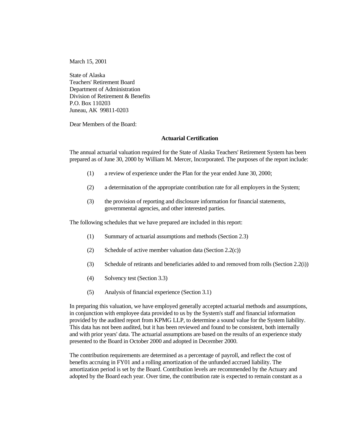March 15, 2001

State of Alaska Teachers' Retirement Board Department of Administration Division of Retirement & Benefits P.O. Box 110203 Juneau, AK 99811-0203

Dear Members of the Board:

#### **Actuarial Certification**

The annual actuarial valuation required for the State of Alaska Teachers' Retirement System has been prepared as of June 30, 2000 by William M. Mercer, Incorporated. The purposes of the report include:

- (1) a review of experience under the Plan for the year ended June 30, 2000;
- (2) a determination of the appropriate contribution rate for all employers in the System;
- (3) the provision of reporting and disclosure information for financial statements, governmental agencies, and other interested parties.

The following schedules that we have prepared are included in this report:

- (1) Summary of actuarial assumptions and methods (Section 2.3)
- (2) Schedule of active member valuation data (Section  $2.2(c)$ )
- (3) Schedule of retirants and beneficiaries added to and removed from rolls (Section 2.2(i))
- (4) Solvency test (Section 3.3)
- (5) Analysis of financial experience (Section 3.1)

In preparing this valuation, we have employed generally accepted actuarial methods and assumptions, in conjunction with employee data provided to us by the System's staff and financial information provided by the audited report from KPMG LLP, to determine a sound value for the System liability. This data has not been audited, but it has been reviewed and found to be consistent, both internally and with prior years' data. The actuarial assumptions are based on the results of an experience study presented to the Board in October 2000 and adopted in December 2000.

The contribution requirements are determined as a percentage of payroll, and reflect the cost of benefits accruing in FY01 and a rolling amortization of the unfunded accrued liability. The amortization period is set by the Board. Contribution levels are recommended by the Actuary and adopted by the Board each year. Over time, the contribution rate is expected to remain constant as a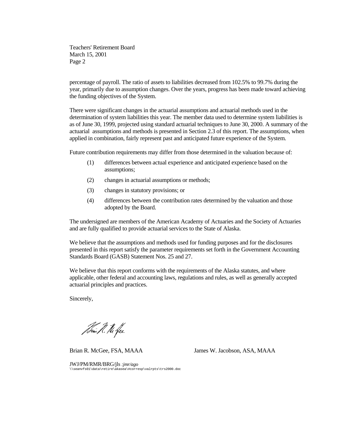Teachers' Retirement Board March 15, 2001 Page 2

percentage of payroll. The ratio of assets to liabilities decreased from 102.5% to 99.7% during the year, primarily due to assumption changes. Over the years, progress has been made toward achieving the funding objectives of the System.

There were significant changes in the actuarial assumptions and actuarial methods used in the determination of system liabilities this year. The member data used to determine system liabilities is as of June 30, 1999, projected using standard actuarial techniques to June 30, 2000. A summary of the actuarial assumptions and methods is presented in Section 2.3 of this report. The assumptions, when applied in combination, fairly represent past and anticipated future experience of the System.

Future contribution requirements may differ from those determined in the valuation because of:

- (1) differences between actual experience and anticipated experience based on the assumptions;
- (2) changes in actuarial assumptions or methods;
- (3) changes in statutory provisions; or
- (4) differences between the contribution rates determined by the valuation and those adopted by the Board.

The undersigned are members of the American Academy of Actuaries and the Society of Actuaries and are fully qualified to provide actuarial services to the State of Alaska.

We believe that the assumptions and methods used for funding purposes and for the disclosures presented in this report satisfy the parameter requirements set forth in the Government Accounting Standards Board (GASB) Statement Nos. 25 and 27.

We believe that this report conforms with the requirements of the Alaska statutes, and where applicable, other federal and accounting laws, regulations and rules, as well as generally accepted actuarial principles and practices.

Sincerely,

Tomi R. M. Jee

Brian R. McGee, FSA, MAAA James W. Jacobson, ASA, MAAA

JWJ/PM/RMR/BRG/jls *:jmr/ago* \\seanvfs01\data\retire\akasea\#corresp\valrpts\trs2000.doc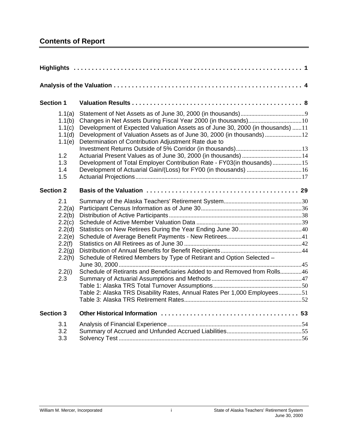## **Contents of Report**

| <b>Section 1</b>                                                                                     |                                                                                                                                                                                                                                                                                            |  |
|------------------------------------------------------------------------------------------------------|--------------------------------------------------------------------------------------------------------------------------------------------------------------------------------------------------------------------------------------------------------------------------------------------|--|
| 1.1(a)<br>1.1(b)<br>1.1(c)<br>1.1(d)<br>1.1(e)<br>1.2<br>1.3<br>1.4<br>1.5                           | Development of Expected Valuation Assets as of June 30, 2000 (in thousands) 11<br>Development of Valuation Assets as of June 30, 2000 (in thousands) 12<br>Determination of Contribution Adjustment Rate due to<br>Development of Total Employer Contribution Rate - FY03(in thousands) 15 |  |
| <b>Section 2</b>                                                                                     |                                                                                                                                                                                                                                                                                            |  |
| 2.1<br>2.2(a)<br>2.2(b)<br>2.2(c)<br>2.2(d)<br>2.2(e)<br>2.2(f)<br>2.2(g)<br>2.2(h)<br>2.2(i)<br>2.3 | Schedule of Retired Members by Type of Retirant and Option Selected -<br>Schedule of Retirants and Beneficiaries Added to and Removed from Rolls46<br>Table 2: Alaska TRS Disability Rates, Annual Rates Per 1,000 Employees51                                                             |  |
| <b>Section 3</b>                                                                                     |                                                                                                                                                                                                                                                                                            |  |
| 3.1<br>3.2<br>3.3                                                                                    |                                                                                                                                                                                                                                                                                            |  |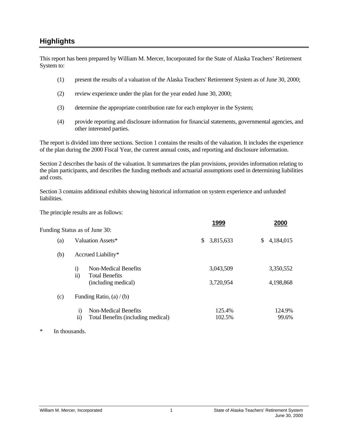### <span id="page-4-0"></span>**Highlights**

This report has been prepared by William M. Mercer, Incorporated for the State of Alaska Teachers' Retirement System to:

- (1) present the results of a valuation of the Alaska Teachers' Retirement System as of June 30, 2000;
- (2) review experience under the plan for the year ended June 30, 2000;
- (3) determine the appropriate contribution rate for each employer in the System;
- (4) provide reporting and disclosure information for financial statements, governmental agencies, and other interested parties.

The report is divided into three sections. Section 1 contains the results of the valuation. It includes the experience of the plan during the 2000 Fiscal Year, the current annual costs, and reporting and disclosure information.

Section 2 describes the basis of the valuation. It summarizes the plan provisions, provides information relating to the plan participants, and describes the funding methods and actuarial assumptions used in determining liabilities and costs.

Section 3 contains additional exhibits showing historical information on system experience and unfunded liabilities.

The principle results are as follows:

|     |                                                                                      | 1999            | 2000            |
|-----|--------------------------------------------------------------------------------------|-----------------|-----------------|
|     | Funding Status as of June 30:                                                        |                 |                 |
| (a) | Valuation Assets*                                                                    | \$<br>3,815,633 | \$<br>4,184,015 |
| (b) | Accrued Liability*                                                                   |                 |                 |
|     | $\mathbf{i}$<br>Non-Medical Benefits<br>$\ddot{\textbf{i}}$<br><b>Total Benefits</b> | 3,043,509       | 3,350,552       |
|     | (including medical)                                                                  | 3,720,954       | 4,198,868       |
| (c) | Funding Ratio, $(a) / (b)$                                                           |                 |                 |
|     | Non-Medical Benefits<br>$\mathbf{i}$                                                 | 125.4%          | 124.9%          |
|     | $\rm ii)$<br>Total Benefits (including medical)                                      | 102.5%          | 99.6%           |

\* In thousands.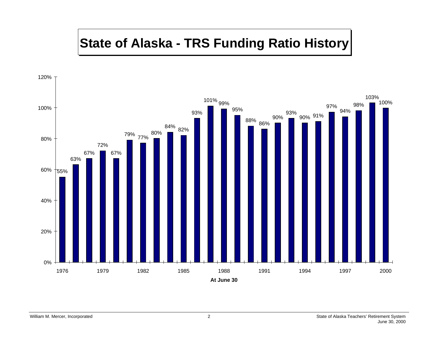# **State of Alaska - TRS Funding Ratio History**

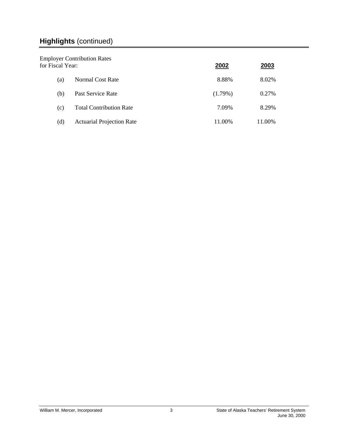## **Highlights** (continued)

| for Fiscal Year: | <b>Employer Contribution Rates</b> | 2002       | 2003   |
|------------------|------------------------------------|------------|--------|
| (a)              | Normal Cost Rate                   | 8.88%      | 8.02%  |
| (b)              | Past Service Rate                  | $(1.79\%)$ | 0.27%  |
| (c)              | <b>Total Contribution Rate</b>     | 7.09%      | 8.29%  |
| (d)              | <b>Actuarial Projection Rate</b>   | 11.00%     | 11.00% |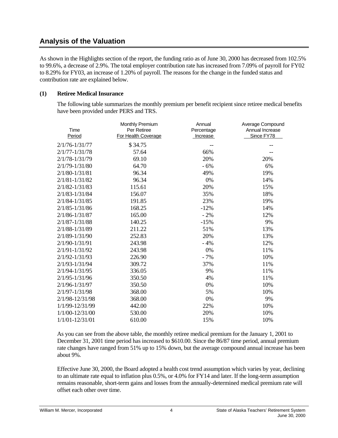### <span id="page-7-0"></span>**Analysis of the Valuation**

As shown in the Highlights section of the report, the funding ratio as of June 30, 2000 has decreased from 102.5% to 99.6%, a decrease of 2.9%. The total employer contribution rate has increased from 7.09% of payroll for FY02 to 8.29% for FY03, an increase of 1.20% of payroll. The reasons for the change in the funded status and contribution rate are explained below.

#### **(1) Retiree Medical Insurance**

The following table summarizes the monthly premium per benefit recipient since retiree medical benefits have been provided under PERS and TRS.

| Time<br><b>Period</b> | Monthly Premium<br>Per Retiree<br>For Health Coverage | Annual<br>Percentage<br>Increase | Average Compound<br>Annual Increase<br>Since FY78 |
|-----------------------|-------------------------------------------------------|----------------------------------|---------------------------------------------------|
| $2/1/76 - 1/31/77$    | \$34.75                                               |                                  |                                                   |
| 2/1/77-1/31/78        | 57.64                                                 | 66%                              |                                                   |
| 2/1/78-1/31/79        | 69.10                                                 | 20%                              | 20%                                               |
| 2/1/79-1/31/80        | 64.70                                                 | $-6%$                            | 6%                                                |
| $2/1/80 - 1/31/81$    | 96.34                                                 | 49%                              | 19%                                               |
| $2/1/81 - 1/31/82$    | 96.34                                                 | 0%                               | 14%                                               |
| 2/1/82-1/31/83        | 115.61                                                | 20%                              | 15%                                               |
| $2/1/83 - 1/31/84$    | 156.07                                                | 35%                              | 18%                                               |
| $2/1/84 - 1/31/85$    | 191.85                                                | 23%                              | 19%                                               |
| $2/1/85 - 1/31/86$    | 168.25                                                | $-12%$                           | 14%                                               |
| $2/1/86 - 1/31/87$    | 165.00                                                | $-2%$                            | 12%                                               |
| $2/1/87 - 1/31/88$    | 140.25                                                | $-15%$                           | 9%                                                |
| 2/1/88-1/31/89        | 211.22                                                | 51%                              | 13%                                               |
| 2/1/89-1/31/90        | 252.83                                                | 20%                              | 13%                                               |
| 2/1/90-1/31/91        | 243.98                                                | $-4%$                            | 12%                                               |
| 2/1/91-1/31/92        | 243.98                                                | 0%                               | 11%                                               |
| $2/1/92 - 1/31/93$    | 226.90                                                | $-7%$                            | 10%                                               |
| 2/1/93-1/31/94        | 309.72                                                | 37%                              | 11%                                               |
| $2/1/94 - 1/31/95$    | 336.05                                                | 9%                               | 11%                                               |
| $2/1/95 - 1/31/96$    | 350.50                                                | 4%                               | 11%                                               |
| 2/1/96-1/31/97        | 350.50                                                | 0%                               | 10%                                               |
| $2/1/97 - 1/31/98$    | 368.00                                                | 5%                               | 10%                                               |
| 2/1/98-12/31/98       | 368.00                                                | 0%                               | 9%                                                |
| 1/1/99-12/31/99       | 442.00                                                | 22%                              | 10%                                               |
| 1/1/00-12/31/00       | 530.00                                                | 20%                              | 10%                                               |
| $1/1/01 - 12/31/01$   | 610.00                                                | 15%                              | 10%                                               |

As you can see from the above table, the monthly retiree medical premium for the January 1, 2001 to December 31, 2001 time period has increased to \$610.00. Since the 86/87 time period, annual premium rate changes have ranged from 51% up to 15% down, but the average compound annual increase has been about 9%.

Effective June 30, 2000, the Board adopted a health cost trend assumption which varies by year, declining to an ultimate rate equal to inflation plus 0.5%, or 4.0% for FY14 and later. If the long-term assumption remains reasonable, short-term gains and losses from the annually-determined medical premium rate will offset each other over time.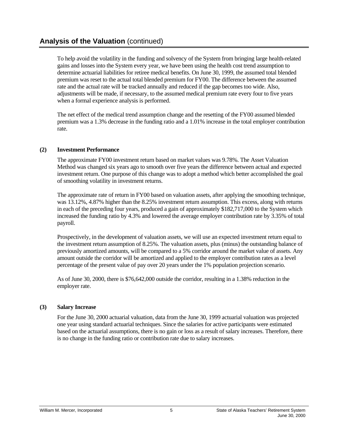To help avoid the volatility in the funding and solvency of the System from bringing large health-related gains and losses into the System every year, we have been using the health cost trend assumption to determine actuarial liabilities for retiree medical benefits. On June 30, 1999, the assumed total blended premium was reset to the actual total blended premium for FY00. The difference between the assumed rate and the actual rate will be tracked annually and reduced if the gap becomes too wide. Also, adjustments will be made, if necessary, to the assumed medical premium rate every four to five years when a formal experience analysis is performed.

The net effect of the medical trend assumption change and the resetting of the FY00 assumed blended premium was a 1.3% decrease in the funding ratio and a 1.01% increase in the total employer contribution rate.

#### **(2) Investment Performance**

The approximate FY00 investment return based on market values was 9.78%. The Asset Valuation Method was changed six years ago to smooth over five years the difference between actual and expected investment return. One purpose of this change was to adopt a method which better accomplished the goal of smoothing volatility in investment returns.

The approximate rate of return in FY00 based on valuation assets, after applying the smoothing technique, was 13.12%, 4.87% higher than the 8.25% investment return assumption. This excess, along with returns in each of the preceding four years, produced a gain of approximately \$182,717,000 to the System which increased the funding ratio by 4.3% and lowered the average employer contribution rate by 3.35% of total payroll.

Prospectively, in the development of valuation assets, we will use an expected investment return equal to the investment return assumption of 8.25%. The valuation assets, plus (minus) the outstanding balance of previously amortized amounts, will be compared to a 5% corridor around the market value of assets. Any amount outside the corridor will be amortized and applied to the employer contribution rates as a level percentage of the present value of pay over 20 years under the 1% population projection scenario.

As of June 30, 2000, there is \$76,642,000 outside the corridor, resulting in a 1.38% reduction in the employer rate.

#### **(3) Salary Increase**

For the June 30, 2000 actuarial valuation, data from the June 30, 1999 actuarial valuation was projected one year using standard actuarial techniques. Since the salaries for active participants were estimated based on the actuarial assumptions, there is no gain or loss as a result of salary increases. Therefore, there is no change in the funding ratio or contribution rate due to salary increases.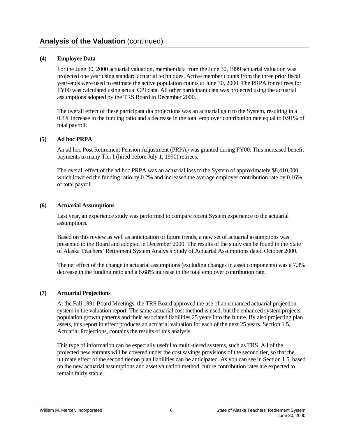#### **(4) Employee Data**

For the June 30, 2000 actuarial valuation, member data from the June 30, 1999 actuarial valuation was projected one year using standard actuarial techniques. Active member counts from the three prior fiscal year-ends were used to estimate the active population counts at June 30, 2000. The PRPA for retirees for FY00 was calculated using actual CPI data. All other participant data was projected using the actuarial assumptions adopted by the TRS Board in December 2000.

The overall effect of these participant dta projections was an actuarial gain to the System, resulting in a 0.3% increase in the funding ratio and a decrease in the total employer contribution rate equal to 0.91% of total payroll.

#### **(5) Ad hoc PRPA**

An ad hoc Post Retirement Pension Adjustment (PRPA) was granted during FY00. This increased benefit payments to many Tier I (hired before July 1, 1990) retirees.

The overall effect of the ad hoc PRPA was an actuarial loss to the System of approximately \$8,410,000 which lowered the funding ratio by 0.2% and increased the average employer contribution rate by 0.16% of total payroll.

#### **(6) Actuarial Assumptions**

Last year, an experience study was performed to compare recent System experience to the actuarial assumptions.

Based on this review as well as anticipation of future trends, a new set of actuarial assumptions was presented to the Board and adopted in December 2000. The results of the study can be found in the State of Alaska Teachers' Retirement System Analysis Study of Actuarial Assumptions dated October 2000.

The net effect of the change in actuarial assumptions (excluding changes in asset components) was a 7.3% decrease in the funding ratio and a 6.68% increase in the total employer contribution rate.

#### **(7) Actuarial Projections**

At the Fall 1991 Board Meetings, the TRS Board approved the use of an enhanced actuarial projection system in the valuation report. The same actuarial cost method is used, but the enhanced system projects population growth patterns and their associated liabilities 25 years into the future. By also projecting plan assets, this report in effect produces an actuarial valuation for each of the next 25 years. Section 1.5, Actuarial Projections, contains the results of this analysis.

This type of information can be especially useful to multi-tiered systems, such as TRS. All of the projected new entrants will be covered under the cost savings provisions of the second tier, so that the ultimate effect of the second tier on plan liabilities can be anticipated. As you can see in Section 1.5, based on the new actuarial assumptions and asset valuation method, future contribution rates are expected to remain fairly stable.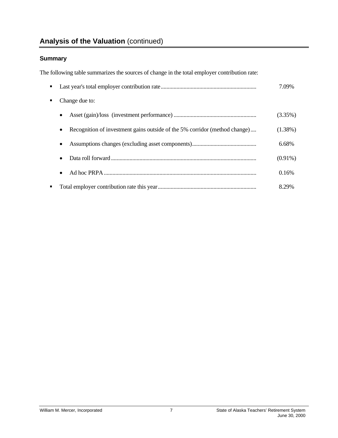## **Analysis of the Valuation** (continued)

### **Summary**

The following table summarizes the sources of change in the total employer contribution rate:

| . . |                                                                            | 7.09%      |
|-----|----------------------------------------------------------------------------|------------|
| ٠   | Change due to:                                                             |            |
|     | ٠                                                                          | (3.35%)    |
|     | Recognition of investment gains outside of the 5% corridor (method change) | $(1.38\%)$ |
|     |                                                                            | 6.68%      |
|     |                                                                            | $(0.91\%)$ |
|     | ٠                                                                          | 0.16%      |
| ٠   |                                                                            | 8.29%      |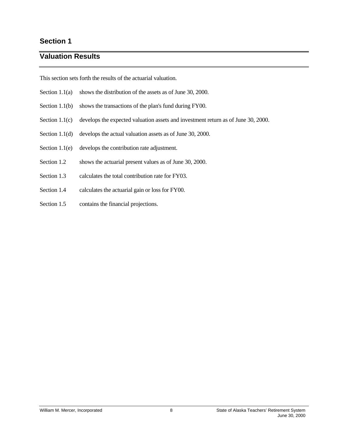### <span id="page-11-0"></span>**Section 1**

### **Valuation Results**

This section sets forth the results of the actuarial valuation.

- Section 1.1(a) shows the distribution of the assets as of June 30, 2000.
- Section 1.1(b) shows the transactions of the plan's fund during FY00.
- Section 1.1(c) develops the expected valuation assets and investment return as of June 30, 2000.
- Section 1.1(d) develops the actual valuation assets as of June 30, 2000.
- Section 1.1(e) develops the contribution rate adjustment.
- Section 1.2 shows the actuarial present values as of June 30, 2000.
- Section 1.3 calculates the total contribution rate for FY03.
- Section 1.4 calculates the actuarial gain or loss for FY00.
- Section 1.5 contains the financial projections.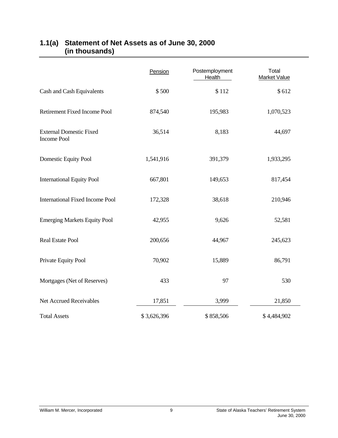|                                                      | Pension     | Postemployment<br><b>Health</b> | Total<br><b>Market Value</b> |
|------------------------------------------------------|-------------|---------------------------------|------------------------------|
| Cash and Cash Equivalents                            | \$500       | \$112                           | \$612                        |
| Retirement Fixed Income Pool                         | 874,540     | 195,983                         | 1,070,523                    |
| <b>External Domestic Fixed</b><br><b>Income Pool</b> | 36,514      | 8,183                           | 44,697                       |
| Domestic Equity Pool                                 | 1,541,916   | 391,379                         | 1,933,295                    |
| <b>International Equity Pool</b>                     | 667,801     | 149,653                         | 817,454                      |
| <b>International Fixed Income Pool</b>               | 172,328     | 38,618                          | 210,946                      |
| <b>Emerging Markets Equity Pool</b>                  | 42,955      | 9,626                           | 52,581                       |
| <b>Real Estate Pool</b>                              | 200,656     | 44,967                          | 245,623                      |
| Private Equity Pool                                  | 70,902      | 15,889                          | 86,791                       |
| Mortgages (Net of Reserves)                          | 433         | 97                              | 530                          |
| Net Accrued Receivables                              | 17,851      | 3,999                           | 21,850                       |
| <b>Total Assets</b>                                  | \$3,626,396 | \$858,506                       | \$4,484,902                  |

### <span id="page-12-0"></span>**1.1(a) Statement of Net Assets as of June 30, 2000 (in thousands)**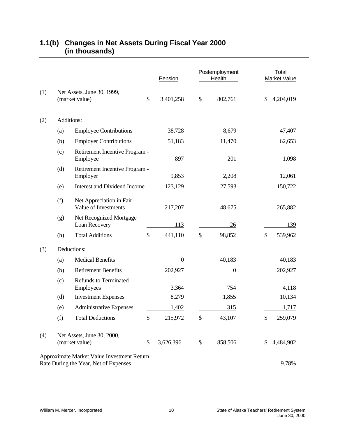|     |     |                                                                                     | Pension          | Postemployment<br>Health | Total<br><b>Market Value</b> |
|-----|-----|-------------------------------------------------------------------------------------|------------------|--------------------------|------------------------------|
| (1) |     | Net Assets, June 30, 1999,<br>(market value)                                        | \$<br>3,401,258  | \$<br>802,761            | \$<br>4,204,019              |
| (2) |     | Additions:                                                                          |                  |                          |                              |
|     | (a) | <b>Employee Contributions</b>                                                       | 38,728           | 8,679                    | 47,407                       |
|     | (b) | <b>Employer Contributions</b>                                                       | 51,183           | 11,470                   | 62,653                       |
|     | (c) | Retirement Incentive Program -<br>Employee                                          | 897              | 201                      | 1,098                        |
|     | (d) | Retirement Incentive Program -<br>Employer                                          | 9,853            | 2,208                    | 12,061                       |
|     | (e) | <b>Interest and Dividend Income</b>                                                 | 123,129          | 27,593                   | 150,722                      |
|     | (f) | Net Appreciation in Fair<br>Value of Investments                                    | 217,207          | 48,675                   | 265,882                      |
|     | (g) | Net Recognized Mortgage<br>Loan Recovery                                            | 113              | 26                       | 139                          |
|     | (h) | <b>Total Additions</b>                                                              | \$<br>441,110    | \$<br>98,852             | \$<br>539,962                |
| (3) |     | Deductions:                                                                         |                  |                          |                              |
|     | (a) | <b>Medical Benefits</b>                                                             | $\boldsymbol{0}$ | 40,183                   | 40,183                       |
|     | (b) | <b>Retirement Benefits</b>                                                          | 202,927          | $\boldsymbol{0}$         | 202,927                      |
|     | (c) | <b>Refunds to Terminated</b><br>Employees                                           | 3,364            | 754                      | 4,118                        |
|     | (d) | <b>Investment Expenses</b>                                                          | 8,279            | 1,855                    | 10,134                       |
|     | (e) | <b>Administrative Expenses</b>                                                      | 1,402            | 315                      | 1,717                        |
|     | (f) | <b>Total Deductions</b>                                                             | \$<br>215,972    | \$<br>43,107             | \$<br>259,079                |
| (4) |     | Net Assets, June 30, 2000,<br>(market value)                                        | \$<br>3,626,396  | \$<br>858,506            | 4,484,902                    |
|     |     | Approximate Market Value Investment Return<br>Rate During the Year, Net of Expenses |                  |                          | 9.78%                        |

### <span id="page-13-0"></span>**1.1(b) Changes in Net Assets During Fiscal Year 2000 (in thousands)**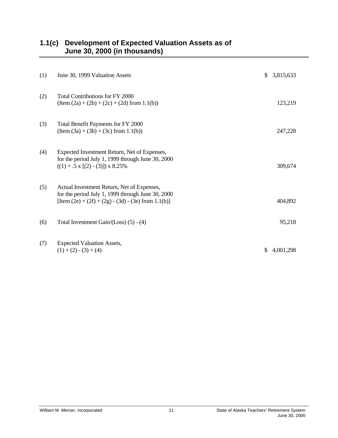<span id="page-14-0"></span>

| 1.1(c) Development of Expected Valuation Assets as of |
|-------------------------------------------------------|
| June 30, 2000 (in thousands)                          |

| (1) | June 30, 1999 Valuation Assets                                                                                                                           | \$  | 3,815,633 |
|-----|----------------------------------------------------------------------------------------------------------------------------------------------------------|-----|-----------|
| (2) | Total Contributions for FY 2000<br>$(Item (2a) + (2b) + (2c) + (2d) from 1.1(b))$                                                                        |     | 123,219   |
| (3) | Total Benefit Payments for FY 2000<br>$(Item (3a) + (3b) + (3c) from 1.1(b))$                                                                            |     | 247,228   |
| (4) | Expected Investment Return, Net of Expenses,<br>for the period July 1, 1999 through June 30, 2000<br>$((1) + .5 \times [(2) - (3)]) \times 8.25\%$       |     | 309,674   |
| (5) | Actual Investment Return, Net of Expenses,<br>for the period July 1, 1999 through June 30, 2000<br>[Item $(2e) + (2f) + (2g) - (3d) - (3e)$ from 1.1(b)] |     | 404,892   |
| (6) | Total Investment Gain/(Loss) $(5) - (4)$                                                                                                                 |     | 95,218    |
| (7) | <b>Expected Valuation Assets,</b><br>$(1) + (2) - (3) + (4)$                                                                                             | \$. | 4,001,298 |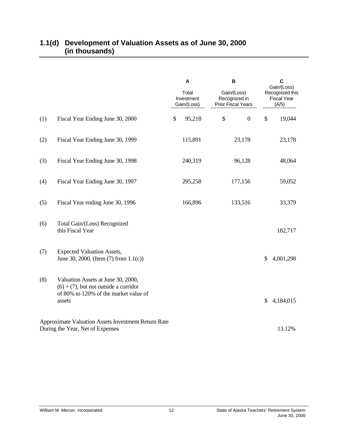|     |                                                                                                                                   | A<br>Total<br>Investment<br>Gain/(Loss) | $\, {\bf B}$<br>Gain/(Loss)<br>Recognized in<br><b>Prior Fiscal Years</b> | $\mathbf c$<br>Gain/(Loss)<br>Recognized this<br><b>Fiscal Year</b><br>(A/5) |
|-----|-----------------------------------------------------------------------------------------------------------------------------------|-----------------------------------------|---------------------------------------------------------------------------|------------------------------------------------------------------------------|
| (1) | Fiscal Year Ending June 30, 2000                                                                                                  | \$<br>95,218                            | \$<br>$\boldsymbol{0}$                                                    | \$<br>19,044                                                                 |
| (2) | Fiscal Year Ending June 30, 1999                                                                                                  | 115,891                                 | 23,178                                                                    | 23,178                                                                       |
| (3) | Fiscal Year Ending June 30, 1998                                                                                                  | 240,319                                 | 96,128                                                                    | 48,064                                                                       |
| (4) | Fiscal Year Ending June 30, 1997                                                                                                  | 295,258                                 | 177,156                                                                   | 59,052                                                                       |
| (5) | Fiscal Year ending June 30, 1996                                                                                                  | 166,896                                 | 133,516                                                                   | 33,379                                                                       |
| (6) | Total Gain/(Loss) Recognized<br>this Fiscal Year                                                                                  |                                         |                                                                           | 182,717                                                                      |
| (7) | <b>Expected Valuation Assets,</b><br>June 30, 2000, (Item $(7)$ from $1.1(c)$ )                                                   |                                         |                                                                           | \$<br>4,001,298                                                              |
| (8) | Valuation Assets at June 30, 2000,<br>$(6) + (7)$ , but not outside a corridor<br>of 80% to 120% of the market value of<br>assets |                                         |                                                                           | \$<br>4,184,015                                                              |
|     | Approximate Valuation Assets Investment Return Rate<br>During the Year, Net of Expenses                                           |                                         |                                                                           | 13.12%                                                                       |

### <span id="page-15-0"></span>**1.1(d) Development of Valuation Assets as of June 30, 2000 (in thousands)**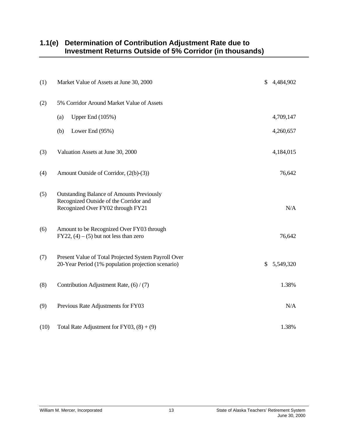### <span id="page-16-0"></span>**1.1(e) Determination of Contribution Adjustment Rate due to Investment Returns Outside of 5% Corridor (in thousands)**

| (1)  | Market Value of Assets at June 30, 2000                                                                                         | \$<br>4,484,902 |
|------|---------------------------------------------------------------------------------------------------------------------------------|-----------------|
| (2)  | 5% Corridor Around Market Value of Assets                                                                                       |                 |
|      | Upper End (105%)<br>(a)                                                                                                         | 4,709,147       |
|      | (b)<br>Lower End (95%)                                                                                                          | 4,260,657       |
| (3)  | Valuation Assets at June 30, 2000                                                                                               | 4,184,015       |
| (4)  | Amount Outside of Corridor, (2(b)-(3))                                                                                          | 76,642          |
| (5)  | <b>Outstanding Balance of Amounts Previously</b><br>Recognized Outside of the Corridor and<br>Recognized Over FY02 through FY21 | N/A             |
| (6)  | Amount to be Recognized Over FY03 through<br>$FY22, (4) - (5)$ but not less than zero                                           | 76,642          |
| (7)  | Present Value of Total Projected System Payroll Over<br>20-Year Period (1% population projection scenario)                      | \$<br>5,549,320 |
| (8)  | Contribution Adjustment Rate, (6) / (7)                                                                                         | 1.38%           |
| (9)  | Previous Rate Adjustments for FY03                                                                                              | N/A             |
| (10) | Total Rate Adjustment for FY03, $(8) + (9)$                                                                                     | 1.38%           |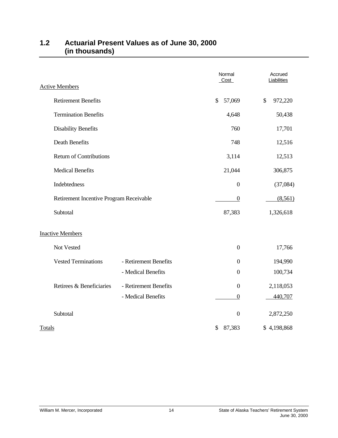| <b>Active Members</b>                   |                       | Normal<br>Cost   | Accrued<br>Liabilities |
|-----------------------------------------|-----------------------|------------------|------------------------|
| <b>Retirement Benefits</b>              |                       | 57,069<br>\$     | \$<br>972,220          |
| <b>Termination Benefits</b>             |                       | 4,648            | 50,438                 |
| <b>Disability Benefits</b>              |                       | 760              | 17,701                 |
| Death Benefits                          |                       | 748              | 12,516                 |
| <b>Return of Contributions</b>          |                       | 3,114            | 12,513                 |
| <b>Medical Benefits</b>                 |                       | 21,044           | 306,875                |
| Indebtedness                            |                       | $\boldsymbol{0}$ | (37,084)               |
| Retirement Incentive Program Receivable |                       | $\boldsymbol{0}$ | (8,561)                |
| Subtotal                                |                       | 87,383           | 1,326,618              |
| <b>Inactive Members</b>                 |                       |                  |                        |
| Not Vested                              |                       | $\boldsymbol{0}$ | 17,766                 |
| <b>Vested Terminations</b>              | - Retirement Benefits | $\boldsymbol{0}$ | 194,990                |
|                                         | - Medical Benefits    | $\boldsymbol{0}$ | 100,734                |
| Retirees & Beneficiaries                | - Retirement Benefits | $\boldsymbol{0}$ | 2,118,053              |
|                                         | - Medical Benefits    | $\boldsymbol{0}$ | 440,707                |
| Subtotal                                |                       | $\boldsymbol{0}$ | 2,872,250              |
| <b>Totals</b>                           |                       | 87,383<br>\$     | \$4,198,868            |

### <span id="page-17-0"></span>**1.2 Actuarial Present Values as of June 30, 2000 (in thousands)**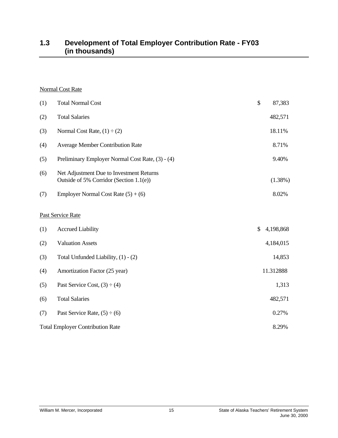### <span id="page-18-0"></span>**1.3 Development of Total Employer Contribution Rate - FY03 (in thousands)**

### Normal Cost Rate

| (1) | <b>Total Normal Cost</b>                                                            | \$<br>87,383    |
|-----|-------------------------------------------------------------------------------------|-----------------|
| (2) | <b>Total Salaries</b>                                                               | 482,571         |
| (3) | Normal Cost Rate, $(1) \div (2)$                                                    | 18.11%          |
| (4) | <b>Average Member Contribution Rate</b>                                             | 8.71%           |
| (5) | Preliminary Employer Normal Cost Rate, (3) - (4)                                    | 9.40%           |
| (6) | Net Adjustment Due to Investment Returns<br>Outside of 5% Corridor (Section 1.1(e)) | $(1.38\%)$      |
| (7) | Employer Normal Cost Rate $(5) + (6)$                                               | 8.02%           |
|     | Past Service Rate                                                                   |                 |
| (1) | <b>Accrued Liability</b>                                                            | \$<br>4,198,868 |
| (2) | <b>Valuation Assets</b>                                                             | 4,184,015       |
| (3) | Total Unfunded Liability, (1) - (2)                                                 | 14,853          |
| (4) | Amortization Factor (25 year)                                                       | 11.312888       |
| (5) | Past Service Cost, $(3) \div (4)$                                                   | 1,313           |
| (6) | <b>Total Salaries</b>                                                               | 482,571         |
| (7) | Past Service Rate, $(5) \div (6)$                                                   | 0.27%           |
|     | <b>Total Employer Contribution Rate</b>                                             | 8.29%           |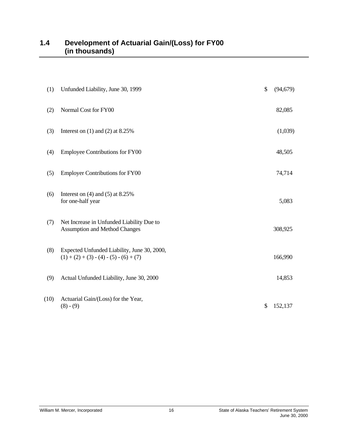<span id="page-19-0"></span>

| (1)  | Unfunded Liability, June 30, 1999                                                        | $\mathcal{S}$ | (94, 679) |
|------|------------------------------------------------------------------------------------------|---------------|-----------|
| (2)  | Normal Cost for FY00                                                                     |               | 82,085    |
| (3)  | Interest on $(1)$ and $(2)$ at 8.25%                                                     |               | (1,039)   |
| (4)  | <b>Employee Contributions for FY00</b>                                                   |               | 48,505    |
| (5)  | <b>Employer Contributions for FY00</b>                                                   |               | 74,714    |
| (6)  | Interest on $(4)$ and $(5)$ at 8.25%<br>for one-half year                                |               | 5,083     |
| (7)  | Net Increase in Unfunded Liability Due to<br><b>Assumption and Method Changes</b>        |               | 308,925   |
| (8)  | Expected Unfunded Liability, June 30, 2000,<br>$(1) + (2) + (3) - (4) - (5) - (6) + (7)$ |               | 166,990   |
| (9)  | Actual Unfunded Liability, June 30, 2000                                                 |               | 14,853    |
| (10) | Actuarial Gain/(Loss) for the Year,<br>$(8) - (9)$                                       | \$            | 152,137   |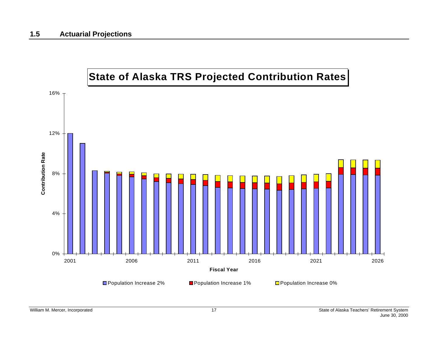<span id="page-20-0"></span>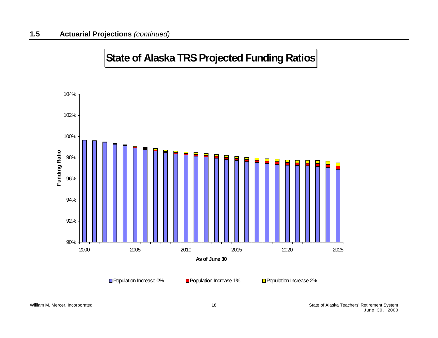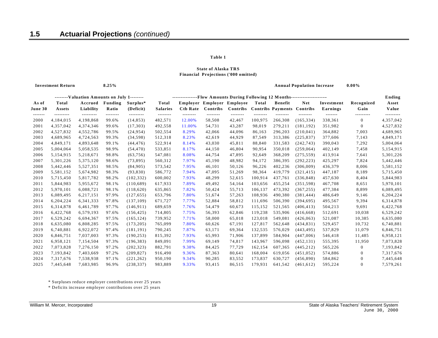#### **Financial Projections ('000 omitted) State of Alaska TRS**

**8.25% Annual Population Increase 0.00%**

|         |           | --------Valuation Amounts on July 1-------- |          |            | ---------------Flow Amounts During Following 12 Months---------------------- |                 |          |                            |          |                                   |            |            |              |           |
|---------|-----------|---------------------------------------------|----------|------------|------------------------------------------------------------------------------|-----------------|----------|----------------------------|----------|-----------------------------------|------------|------------|--------------|-----------|
| As of   | Total     | Accrued                                     | Funding  | Surplus*   | Total                                                                        |                 |          | Employer Employer Employee | Total    | Benefit                           | Net        | Investment | Recognized   | Asset     |
| June 30 | Assets    | Liability                                   | Ratio    | (Deficit)  | <b>Salaries</b>                                                              | <b>Ctb Rate</b> | Contribs | Contribs                   |          | <b>Contribs Payments Contribs</b> |            | Earnings   | Gain         | Value     |
| ------- | --------- | ---------                                   | -------- | ---------  | --------                                                                     | --------        | -------- | --------                   | -------- | --------                          | --------   | -------    |              | --------- |
| 2000    | 4,184,015 | 4,198,868                                   | 99.6%    | (14, 853)  | 482,571                                                                      | 12.00%          | 58,508   | 42,467                     | 100,975  | 266,308                           | (165, 334) | 338,361    | $\Omega$     | 4,357,042 |
| 2001    | 4,357,042 | 4,374,346                                   | 99.6%    | (17, 303)  | 492,558                                                                      | 11.00%          | 54,731   | 43,287                     | 98,019   | 279,211                           | (181, 192) | 351,982    | $\mathbf{0}$ | 4,527,832 |
| 2002    | 4,527,832 | 4,552,786                                   | 99.5%    | (24, 954)  | 502,554                                                                      | 8.29%           | 42,066   | 44,096                     | 86,163   | 296,203                           | (210, 041) | 364,882    | 7,003        | 4,689,965 |
| 2003    | 4,689,965 | 4,724,563                                   | 99.3%    | (34, 598)  | 512,318                                                                      | 8.23%           | 42,619   | 44,929                     | 87,549   | 313,386                           | (225, 837) | 377,606    | 7,143        | 4,849,171 |
| 2004    | 4,849,171 | 4,893,648                                   | 99.1%    | (44, 476)  | 522,914                                                                      | 8.14%           | 43,030   | 45,811                     | 88,840   | 331,583                           | (242, 743) | 390,043    | 7,292        | 5,004,064 |
| 2005    | 5,004,064 | 5,058,535                                   | 98.9%    | (54, 470)  | 533,851                                                                      | 8.17%           | 44,150   | 46,804                     | 90,954   | 350,018                           | (259, 064) | 402,149    | 7,458        | 5,154,915 |
| 2006    | 5,154,915 | 5,218,671                                   | 98.8%    | (63, 756)  | 547,081                                                                      | 8.08%           | 44,754   | 47,895                     | 92,649   | 368,209                           | (275, 559) | 413,914    | 7,641        | 5,301,226 |
| 2007    | 5,301,226 | 5,375,120                                   | 98.6%    | (73, 895)  | 560,312                                                                      | 7.97%           | 45,190   | 48,982                     | 94,172   | 386,395                           | (292, 223) | 425,297    | 7,824        | 5,442,446 |
| 2008    | 5,442,446 | 5,527,351                                   | 98.5%    | (84,905)   | 573,542                                                                      | 7.95%           | 46,101   | 50,126                     | 96,226   | 402,236                           | (306,009)  | 436,379    | 8,006        | 5,581,152 |
| 2009    | 5,581,152 | 5,674,982                                   | 98.3%    | (93,830)   | 586,772                                                                      | 7.94%           | 47,095   | 51,269                     | 98,364   | 419,779                           | (321, 415) | 447,187    | 8,189        | 5,715,450 |
| 2010    | 5,715,450 | 5,817,782                                   | 98.2%    | (102, 332) | 600,002                                                                      | 7.93%           | 48,299   | 52,615                     | 100,914  | 437,761                           | (336, 848) | 457,630    | 8,404        | 5,844,983 |
| 2011    | 5,844,983 | 5,955,672                                   | 98.1%    | (110,689)  | 617,933                                                                      | 7.89%           | 49,492   | 54,164                     | 103,656  | 455,254                           | (351, 598) | 467,708    | 8,651        | 5,970,101 |
| 2012    | 5,970,101 | 6,088,721                                   | 98.1%    | (118,620)  | 635,865                                                                      | 7.82%           | 50,424   | 55,713                     | 106.137  | 473,392                           | (367, 255) | 477,384    | 8,899        | 6,089,495 |
| 2013    | 6,089,495 | 6,217,151                                   | 97.9%    | (127, 655) | 653,796                                                                      | 7.80%           | 51,674   | 57,263                     | 108,936  | 490,380                           | (381, 444) | 486,649    | 9,146        | 6,204,224 |
| 2014    | 6,204,224 | 6, 341, 333                                 | 97.8%    | (137, 109) | 671,727                                                                      | 7.77%           | 52,884   | 58,812                     | 111,696  | 506,390                           | (394, 695) | 495,567    | 9,394        | 6,314,878 |
| 2015    | 6,314,878 | 6,461,789                                   | 97.7%    | (146, 911) | 689,659                                                                      | 7.76%           | 54,479   | 60,673                     | 115,152  | 521,565                           | (406, 413) | 504,213    | 9,691        | 6,422,768 |
| 2016    | 6,422,768 | 6,579,193                                   | 97.6%    | (156, 425) | 714,805                                                                      | 7.75%           | 56,393   | 62,846                     | 119,238  | 535,906                           | (416, 668) | 512,691    | 10,038       | 6,529,242 |
| 2017    | 6,529,242 | 6,694,367                                   | 97.5%    | (165, 124) | 739,952                                                                      | 7.71%           | 58,000   | 65,018                     | 123,018  | 549,081                           | (426, 063) | 521,087    | 10,385       | 6,635,080 |
| 2018    | 6,635,080 | 6,808,285                                   | 97.5%    | (173, 205) | 765,099                                                                      | 7.80%           | 60,626   | 67,191                     | 127,817  | 562,648                           | (434, 831) | 529,457    | 10,732       | 6,740,881 |
| 2019    | 6,740,881 | 6,922,072                                   | 97.4%    | (181, 191) | 790,245                                                                      | 7.87%           | 63,171   | 69,364                     | 132,535  | 576.029                           | (443, 495) | 537,829    | 11,079       | 6,846,751 |
| 2020    | 6,846,751 | 7,037,003                                   | 97.3%    | (190, 253) | 815,392                                                                      | 7.93%           | 65,993   | 71,906                     | 137,899  | 584,904                           | (447,006)  | 546,418    | 11,485       | 6,958,121 |
| 2021    | 6,958,121 | 7,154,504                                   | 97.3%    | (196, 383) | 849,091                                                                      | 7.99%           | 69,149   | 74,817                     | 143,967  | 596,098                           | (452, 131) | 555,395    | 11,950       | 7,073,828 |
| 2022    | 7,073,828 | 7,276,150                                   | 97.2%    | (202, 323) | 882,791                                                                      | 9.38%           | 84,425   | 77,729                     | 162,154  | 607,365                           | (445, 212) | 565,226    | $\bf{0}$     | 7,193,842 |
| 2023    | 7,193,842 | 7,403,669                                   | 97.2%    | (209, 827) | 916,490                                                                      | 9.36%           | 87,363   | 80,641                     | 168,004  | 619.056                           | (451, 052) | 574,886    | $\bf{0}$     | 7,317,676 |
| 2024    | 7,317,676 | 7,538,938                                   | 97.1%    | (221, 262) | 950,190                                                                      | 9.34%           | 90,285   | 83,552                     | 173,837  | 630,727                           | (456, 890) | 584,862    | $\mathbf{0}$ | 7,445,648 |
| 2025    | 7,445,648 | 7.683.985                                   | 96.9%    | (238, 337) | 983.889                                                                      | 9.33%           | 93,415   | 86.515                     | 179.931  | 641.542                           | (461, 612) | 595.224    | $\Omega$     | 7,579,261 |

\* Surpluses reduce employer contributions over 25 years

\* Deficits increase employer contributions over 25 years

 **Investment Return**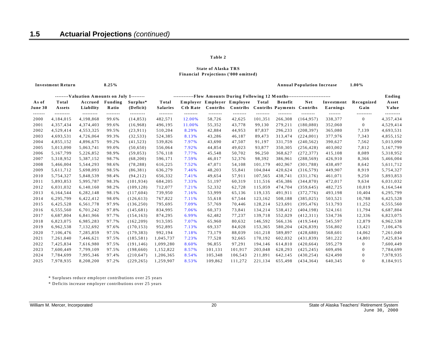#### **Financial Projections ('000 omitted) State of Alaska TRS**

**8.25% Annual Population Increase 1.00%**

|                 |               | Valuation Amounts on July 1 |                   |                        |                     | Flow Amounts During Following 12 Months |                            |                    |                     |                                   |                        |                    |                  | Ending                 |
|-----------------|---------------|-----------------------------|-------------------|------------------------|---------------------|-----------------------------------------|----------------------------|--------------------|---------------------|-----------------------------------|------------------------|--------------------|------------------|------------------------|
| As of           | Total         | Accrued                     | Funding           | Surplus*               | Total               |                                         | Employer Employer Employee |                    | Total               | Benefit                           | <b>Net</b>             | Investment         | Recognized       | <b>Asset</b>           |
| June 30         | Assets        | Liability                   | Ratio             | (Deficit)              | <b>Salaries</b>     | Ctb Rate                                | Contribs                   | Contribs           |                     | <b>Contribs Payments Contribs</b> |                        | Earnings           | Gain             | Value                  |
| -------<br>2000 | <br>4,184,015 | ---------<br>4,198,868      | --------<br>99.6% | ---------<br>(14, 853) | --------<br>482,571 | --------<br>12.00%                      | --------<br>58,726         | --------<br>42,625 | --------<br>101,351 | <br>266,308                       | --------<br>(164, 957) | -------<br>338,377 | <br>$\mathbf{0}$ | ---------<br>4,357,434 |
| 2001            | 4,357,434     | 4,374,403                   | 99.6%             | (16.968)               | 496,195             | 11.00%                                  | 55,352                     | 43,778             | 99,130              | 279,211                           | (180, 080)             | 352,060            | $\mathbf{0}$     | 4,529,414              |
| 2002            | 4,529,414     | 4,553,325                   | 99.5%             | (23, 911)              | 510,204             | 8.29%                                   | 42,884                     | 44,953             | 87,837              | 296,233                           | (208, 397)             | 365,080            | 7,139            | 4,693,531              |
| 2003            | 4,693,531     | 4,726,064                   | 99.3%             | (32, 533)              | 524,385             | 8.13%                                   | 43,286                     | 46,187             | 89,473              | 313,474                           | (224, 001)             | 377,976            | 7,343            | 4,855,152              |
| 2004            | 4,855,152     | 4,896,675                   | 99.2%             | (41, 523)              | 539,826             | 7.97%                                   | 43,690                     | 47,507             | 91,197              | 331,759                           | (240, 562)             | 390,627            | 7,562            | 5,013,090              |
| 2005            | 5,013,090     | 5,063,741                   | 99.0%             | (50, 650)              | 556,064             | 7.92%                                   | 44,854                     | 49,023             | 93,877              | 350,305                           | (256, 428)             | 403,002            | 7,812            | 5,167,799              |
| 2006            | 5,167,799     | 5,226,852                   | 98.9%             | (59, 053)              | 576,118             | 7.77%                                   | 45,548                     | 50,702             | 96,250              | 368,627                           | (272, 377)             | 415,108            | 8,089            | 5,318,952              |
| 2007            | 5,318,952     | 5,387,152                   | 98.7%             | (68, 200)              | 596,171             | 7.59%                                   | 46,017                     | 52,376             | 98,392              | 386,961                           | (288, 569)             | 426,910            | 8,366            | 5,466,004              |
| 2008            | 5,466,004     | 5,544,293                   | 98.6%             | (78, 288)              | 616,225             | 7.52%                                   | 47,071                     | 54,108             | 101,179             | 402,967                           | (301, 788)             | 438,497            | 8,642            | 5,611,712              |
| 2009            | 5,611,712     | 5,698,093                   | 98.5%             | (86, 381)              | 636,279             | 7.46%                                   | 48,203                     | 55,841             | 104,044             | 420,624                           | (316, 579)             | 449,907            | 8,919            | 5,754,327              |
| 2010            | 5,754,327     | 5,848,539                   | 98.4%             | (94,212)               | 656,332             | 7.41%                                   | 49,654                     | 57,911             | 107,565             | 438,741                           | (331, 176)             | 461,071            | 9,250            | 5,893,853              |
| 2011            | 5,893,853     | 5,995,787                   | 98.3%             | (101.934)              | 684,205             | 7.33%                                   | 51,197                     | 60,319             | 111,516             | 456,386                           | (344, 870)             | 472,017            | 9,634            | 6,031,032              |
| 2012            | 6,031,032     | 6,140,160                   | 98.2%             | (109, 128)             | 712,077             | 7.21%                                   | 52,332                     | 62,728             | 115,059             | 474,704                           | (359, 645)             | 482,725            | 10,019           | 6,164,544              |
| 2013            | 6,164,544     | 6,282,148                   | 98.1%             | (117,604)              | 739,950             | 7.16%                                   | 53,999                     | 65,136             | 119,135             | 491,911                           | (372, 776)             | 493,198            | 10,404           | 6,295,799              |
| 2014            | 6,295,799     | 6,422,412                   | 98.0%             | (126, 613)             | 767,822             | 7.11%                                   | 55,618                     | 67,544             | 123,162             | 508,188                           | (385, 025)             | 503,521            | 10,788           | 6,425,528              |
| 2015            | 6,425,528     | 6,561,778                   | 97.9%             | (136, 250)             | 795,695             | 7.09%                                   | 57,769                     | 70,446             | 128,214             | 523,691                           | (395.476)              | 513,793            | 11,252           | 6,555,560              |
| 2016            | 6,555,560     | 6,701,242                   | 97.8%             | (145, 681)             | 834,995             | 7.06%                                   | 60,373                     | 73,841             | 134,214             | 538,412                           | (404, 198)             | 524,161            | 11,794           | 6,687,804              |
| 2017            | 6,687,804     | 6,841,966                   | 97.7%             | (154, 163)             | 874,295             | 6.99%                                   | 62,482                     | 77,237             | 139,718             | 552,029                           | (412,311)              | 534,736            | 12,336           | 6,823,075              |
| 2018            | 6,823,075     | 6,985,283                   | 97.7%             | (162, 209)             | 913,595             | 7.07%                                   | 65,960                     | 80,632             | 146,592             | 566,136                           | (419, 544)             | 545,597            | 12,879           | 6,962,538              |
| 2019            | 6,962,538     | 7,132,692                   | 97.6%             | (170, 153)             | 952,895             | 7.13%                                   | 69,337                     | 84,028             | 153,365             | 580,204                           | (426, 839)             | 556,802            | 13,421           | 7,106,476              |
| 2020            | 7,106,476     | 7,285,859                   | 97.5%             | (179.383)              | 992,194             | 7.18%                                   | 73,179                     | 88,039             | 161,218             | 589,897                           | (428, 680)             | 568,601            | 14,062           | 7,261,040              |
| 2021            | 7,261,040     | 7,446,621                   | 97.5%             | (185, 581)             | 1,045,737           | 7.23%                                   | 77,528                     | 92,665             | 170,192             | 602,032                           | (431, 839)             | 581,222            | 14,801           | 7,425,834              |
| 2022            | 7,425,834     | 7,616,980                   | 97.5%             | (191, 146)             | 1,099,280           | 8.60%                                   | 96,855                     | 97,291             | 194,146             | 614,810                           | (420, 664)             | 595,279            | $\Omega$         | 7,600,449              |
| 2023            | 7,600,449     | 7,799,109                   | 97.5%             | (198,660)              | 1,152,822           | 8.57%                                   | 101,131                    | 101,917            | 203,048             | 628,293                           | (425, 245)             | 609,496            | $\theta$         | 7,784,699              |
| 2024            | 7,784,699     | 7,995,346                   | 97.4%             | (210, 647)             | 1,206,365           | 8.54%                                   | 105,348                    | 106,543            | 211,891             | 642,145                           | (430, 254)             | 624,490            | $\Omega$         | 7,978,935              |
| 2025            | 7.978.935     | 8.208.200                   | 97.2%             | (229.265)              | 1.259.907           | 8.53%                                   | 109.862                    | 111.272            | 221.134             | 655.498                           | (434.364)              | 640.345            | $\theta$         | 8.184.915              |

\* Surpluses reduce employer contributions over 25 years

\* Deficits increase employer contributions over 25 years

 **Investment Return**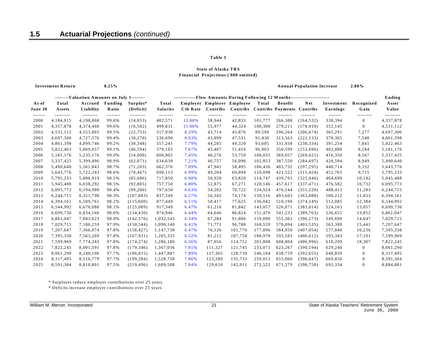#### **Financial Projections ('000 omitted) State of Alaska TRS**

 **Investment Return**

**8.25% Annual Population Increase 2.00%**

|         |           | --------Valuation Amounts on July 1-------- |          |            | Flow Amounts During Following 12 Months |                 |                            |          |          |                                   |            |            |                |           |
|---------|-----------|---------------------------------------------|----------|------------|-----------------------------------------|-----------------|----------------------------|----------|----------|-----------------------------------|------------|------------|----------------|-----------|
| As of   | Total     | Accrued                                     | Funding  | Surplus*   | Total                                   |                 | Employer Employer Employee |          | Total    | <b>Benefit</b>                    | <b>Net</b> | Investment | Recognized     | Asset     |
| June 30 | Assets    | Liability                                   | Ratio    | (Deficit)  | <b>Salaries</b>                         | <b>Ctb Rate</b> | Contribs                   | Contribs |          | <b>Contribs Payments Contribs</b> |            | Earnings   | Gain           | Value     |
| ------- |           | ---------                                   | -------- | ---------  | --------                                | --------        | --------                   | -------- | -------- | --------                          | --------   | -------    | ---------      |           |
| 2000    | 4,184,015 | 4,198,868                                   | 99.6%    | (14, 853)  | 482,571                                 | 12.00%          | 58,944                     | 42,833   | 101,777  | 266,308                           | (164, 532) | 338,394    | $\Omega$       | 4,357,878 |
| 2001    | 4,357,878 | 4,374,460                                   | 99.6%    | (16, 582)  | 499,831                                 | 11.00%          | 55,977                     | 44,324   | 100,300  | 279,211                           | (178, 910) | 352,145    | $\overline{0}$ | 4,531,112 |
| 2002    | 4,531,112 | 4,553,865                                   | 99.5%    | (22, 753)  | 517,930                                 | 8.29%           | 43,714                     | 45,876   | 89,590   | 296,264                           | (206, 674) | 365,291    | 7,277          | 4,697,306 |
| 2003    | 4,697,306 | 4,727,576                                   | 99.4%    | (30, 270)  | 536,690                                 | 8.03%           | 43,899                     | 47,531   | 91,430   | 313,563                           | (222, 133) | 378,365    | 7,548          | 4,861,398 |
| 2004    | 4,861,398 | 4,899,746                                   | 99.2%    | (38, 348)  | 557,241                                 | 7.79%           | 44,285                     | 49,320   | 93,605   | 331,938                           | (238, 334) | 391,234    | 7,841          | 5,022,463 |
| 2005    | 5,022,463 | 5,069,057                                   | 99.1%    | (46, 594)  | 579,165                                 | 7.67%           | 45,487                     | 51,416   | 96,903   | 350,599                           | (253, 696) | 403,888    | 8,184          | 5,181,176 |
| 2006    | 5,181,176 | 5,235,176                                   | 99.0%    | (54,000)   | 606,902                                 | 7.45%           | 46,276                     | 53,759   | 100,035  | 369,057                           | (269, 021) | 416,350    | 8,567          | 5,337,425 |
| 2007    | 5,337,425 | 5,399,496                                   | 98.9%    | (62,071)   | 634,639                                 | 7.21%           | 46,757                     | 56,096   | 102,853  | 387,550                           | (284, 697) | 428,594    | 8,949          | 5,490,640 |
| 2008    | 5,490,640 | 5,561,843                                   | 98.7%    | (71, 203)  | 662,376                                 | 7.09%           | 47,941                     | 58,495   | 106,436  | 403,732                           | (297, 295) | 440,714    | 9,332          | 5,643,776 |
| 2009    | 5,643,776 | 5,722,243                                   | 98.6%    | (78, 467)  | 690,113                                 | 6.99%           | 49,204                     | 60,894   | 110,098  | 421,522                           | (311, 424) | 452,765    | 9,715          | 5,795,233 |
| 2010    | 5,795,233 | 5,880,919                                   | 98.5%    | (85,686)   | 717,850                                 | 6.90%           | 50,928                     | 63,820   | 114,747  | 439,793                           | (325, 046) | 464,699    | 10,182         | 5,945,488 |
| 2011    | 5,945,488 | 6,038,292                                   | 98.5%    | (92, 805)  | 757,750                                 | 6.80%           | 52,875                     | 67,271   | 120,146  | 457,617                           | (337, 471) | 476,582    | 10,732         | 6,095,773 |
| 2012    | 6,095,773 | 6,194,980                                   | 98.4%    | (99, 206)  | 797,650                                 | 6.63%           | 54,202                     | 70,722   | 124,924  | 476,144                           | (351, 220) | 488,413    | 11,283         | 6,244,715 |
| 2013    | 6,244,715 | 6,351,798                                   | 98.3%    | (107, 083) | 837,549                                 | 6.57%           | 56,342                     | 74,174   | 130,516  | 493,603                           | (363,088)  | 500,212    | 11,833         | 6,394,161 |
| 2014    | 6,394,161 | 6,509,761                                   | 98.2%    | (115,600)  | 877,449                                 | 6.51%           | 58,417                     | 77,625   | 136,042  | 510,190                           | (374, 149) | 512,085    | 12,384         | 6,544,992 |
| 2015    | 6,544,992 | 6,670,080                                   | 98.1%    | (125,089)  | 917,349                                 | 6.47%           | 61,216                     | 81,842   | 143,057  | 526,071                           | (383, 014) | 524,163    | 13,057         | 6,699,736 |
| 2016    | 6,699,736 | 6,834,166                                   | 98.0%    | (134, 430) | 974,946                                 | 6.44%           | 64,646                     | 86,824   | 151,470  | 541,233                           | (389, 763) | 536,651    | 13,852         | 6,861,047 |
| 2017    | 6,861,047 | 7,003,623                                   | 98.0%    | (142, 576) | 1,032,543                               | 6.34%           | 67,284                     | 91,806   | 159.090  | 555,362                           | (396, 273) | 549,690    | 14,647         | 7,029,715 |
| 2018    | 7,029,715 | 7,180,259                                   | 97.9%    | (150, 544) | 1,090,140                               | 6.41%           | 71,771                     | 96.788   | 168,559  | 570,094                           | (401, 535) | 563,388    | 15,441         | 7,207,647 |
| 2019    | 7,207,647 | 7,366,074                                   | 97.8%    | (158, 427) | 1,147,738                               | 6.47%           | 76,126                     | 101,770  | 177,896  | 584,950                           | (407, 054) | 577,840    | 16,236         | 7,395,338 |
| 2020    | 7,395,338 | 7,563,269                                   | 97.8%    | (167, 931) | 1,205,335                               | 6.52%           | 81,212                     | 107,758  | 188,970  | 595,583                           | (406, 612) | 593,343    | 17,191         | 7,599,969 |
| 2021    | 7,599,969 | 7,774,243                                   | 97.8%    | (174, 274) | 1,286,186                               | 6.56%           | 87,056                     | 114,752  | 201,808  | 608,804                           | (406,996)  | 610,209    | 18,307         | 7,822,245 |
| 2022    | 7,822,245 | 8,001,591                                   | 97.8%    | (179, 346) | 1,367,036                               | 7.91%           | 111,327                    | 121,745  | 233,073  | 623,267                           | (390, 194) | 629,240    | $\mathbf{0}$   | 8,061,290 |
| 2023    | 8,061,290 | 8,248,106                                   | 97.7%    | (186, 815) | 1,447,887                               | 7.89%           | 117,365                    | 128,739  | 246,104  | 638,759                           | (392, 655) | 648,859    | $\mathbf{0}$   | 8,317,495 |
| 2024    | 8,317,495 | 8,516,779                                   | 97.7%    | (199, 284) | 1,528,738                               | 7.86%           | 123,280                    | 135,733  | 259,013  | 655,060                           | (396, 047) | 669,856    | $\mathbf{0}$   | 8,591,304 |
| 2025    | 8.591.304 | 8.810.801                                   | 97.5%    | (219.496)  | 1.609,588                               | 7.84%           | 129.610                    | 142.911  | 272.522  | 671.279                           | (398.758)  | 692.334    | $\Omega$       | 8,884,881 |

\* Surpluses reduce employer contributions over 25 years

\* Deficits increase employer contributions over 25 years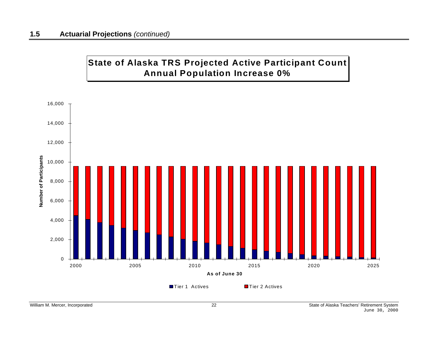## **State of Alaska TRS Projected Active Participant Count Annual Population Increase 0%**

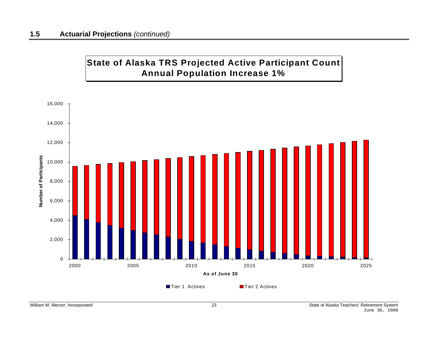

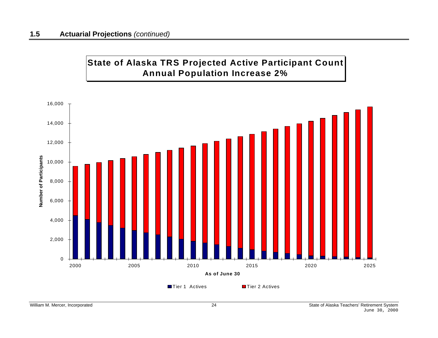

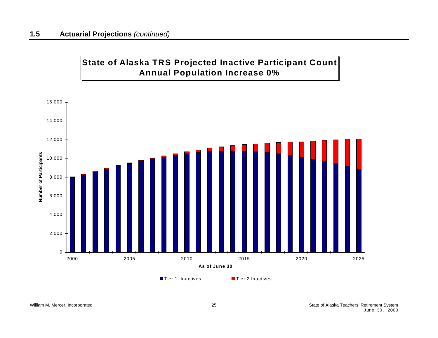

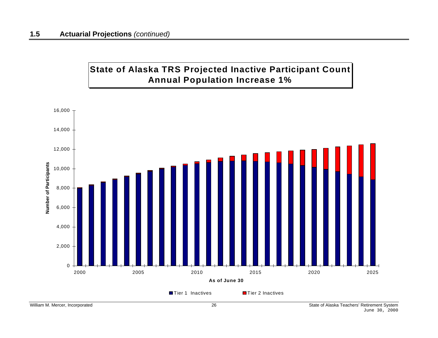## **State of Alaska TRS Projected Inactive Participant Count Annual Population Increase 1%**

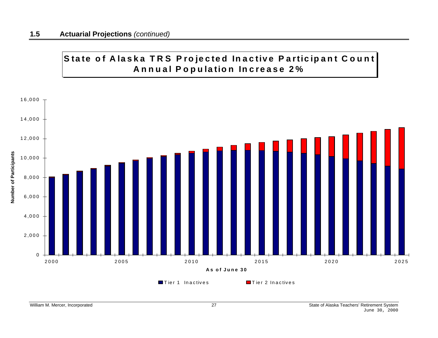## State of Alaska TRS Projected Inactive Participant Count **A <sup>n</sup> <sup>n</sup> <sup>u</sup> <sup>a</sup> l P <sup>o</sup> p <sup>u</sup> la tio n In <sup>c</sup> rease 2%**

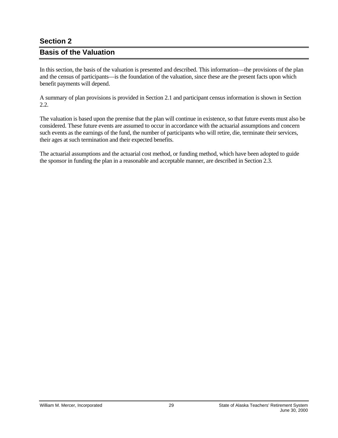### <span id="page-32-0"></span>**Section 2**

### **Basis of the Valuation**

In this section, the basis of the valuation is presented and described. This information—the provisions of the plan and the census of participants—is the foundation of the valuation, since these are the present facts upon which benefit payments will depend.

A summary of plan provisions is provided in Section 2.1 and participant census information is shown in Section 2.2.

The valuation is based upon the premise that the plan will continue in existence, so that future events must also be considered. These future events are assumed to occur in accordance with the actuarial assumptions and concern such events as the earnings of the fund, the number of participants who will retire, die, terminate their services, their ages at such termination and their expected benefits.

The actuarial assumptions and the actuarial cost method, or funding method, which have been adopted to guide the sponsor in funding the plan in a reasonable and acceptable manner, are described in Section 2.3.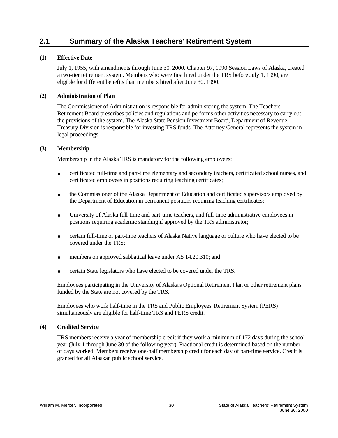### <span id="page-33-0"></span>**2.1 Summary of the Alaska Teachers' Retirement System**

#### **(1) Effective Date**

 July 1, 1955, with amendments through June 30, 2000. Chapter 97, 1990 Session Laws of Alaska, created a two-tier retirement system. Members who were first hired under the TRS before July 1, 1990, are eligible for different benefits than members hired after June 30, 1990.

#### **(2) Administration of Plan**

The Commissioner of Administration is responsible for administering the system. The Teachers' Retirement Board prescribes policies and regulations and performs other activities necessary to carry out the provisions of the system. The Alaska State Pension Investment Board, Department of Revenue, Treasury Division is responsible for investing TRS funds. The Attorney General represents the system in legal proceedings.

#### **(3) Membership**

Membership in the Alaska TRS is mandatory for the following employees:

- certificated full-time and part-time elementary and secondary teachers, certificated school nurses, and certificated employees in positions requiring teaching certificates;
- the Commissioner of the Alaska Department of Education and certificated supervisors employed by the Department of Education in permanent positions requiring teaching certificates;
- University of Alaska full-time and part-time teachers, and full-time administrative employees in positions requiring academic standing if approved by the TRS administrator;
- certain full-time or part-time teachers of Alaska Native language or culture who have elected to be covered under the TRS;
- members on approved sabbatical leave under AS 14.20.310; and
- certain State legislators who have elected to be covered under the TRS.

Employees participating in the University of Alaska's Optional Retirement Plan or other retirement plans funded by the State are not covered by the TRS.

Employees who work half-time in the TRS and Public Employees' Retirement System (PERS) simultaneously are eligible for half-time TRS and PERS credit.

#### **(4) Credited Service**

TRS members receive a year of membership credit if they work a minimum of 172 days during the school year (July 1 through June 30 of the following year). Fractional credit is determined based on the number of days worked. Members receive one-half membership credit for each day of part-time service. Credit is granted for all Alaskan public school service.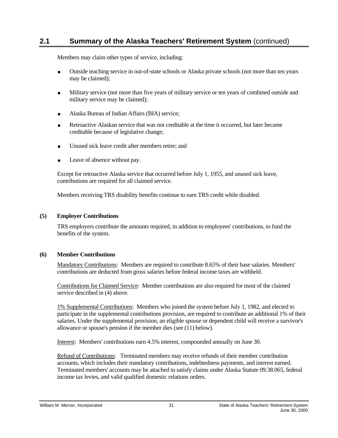Members may claim other types of service, including:

- Outside teaching service in out-of-state schools or Alaska private schools (not more than ten years may be claimed);
- Military service (not more than five years of military service or ten years of combined outside and military service may be claimed);
- **Alaska Bureau of Indian Affairs (BIA) service:**
- Retroactive Alaskan service that was not creditable at the time it occurred, but later became creditable because of legislative change;
- Unused sick leave credit after members retire; and
- Leave of absence without pay.

Except for retroactive Alaska service that occurred before July 1, 1955, and unused sick leave, contributions are required for all claimed service.

Members receiving TRS disability benefits continue to earn TRS credit while disabled.

#### **(5) Employer Contributions**

TRS employers contribute the amounts required, in addition to employees' contributions, to fund the benefits of the system.

#### **(6) Member Contributions**

Mandatory Contributions: Members are required to contribute 8.65% of their base salaries. Members' contributions are deducted from gross salaries before federal income taxes are withheld.

Contributions for Claimed Service: Member contributions are also required for most of the claimed service described in (4) above.

1% Supplemental Contributions: Members who joined the system before July 1, 1982, and elected to participate in the supplemental contributions provision, are required to contribute an additional 1% of their salaries. Under the supplemental provision, an eligible spouse or dependent child will receive a survivor's allowance or spouse's pension if the member dies (see (11) below).

Interest: Members' contributions earn 4.5% interest, compounded annually on June 30.

Refund of Contributions: Terminated members may receive refunds of their member contribution accounts, which includes their mandatory contributions, indebtedness payments, and interest earned. Terminated members' accounts may be attached to satisfy claims under Alaska Statute 09.38.065, federal income tax levies, and valid qualified domestic relations orders.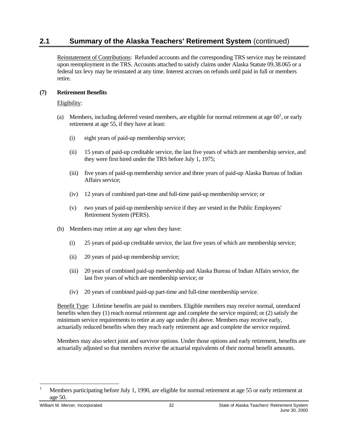Reinstatement of Contributions: Refunded accounts and the corresponding TRS service may be reinstated upon reemployment in the TRS. Accounts attached to satisfy claims under Alaska Statute 09.38.065 or a federal tax levy may be reinstated at any time. Interest accrues on refunds until paid in full or members retire.

#### **(7) Retirement Benefits**

#### Eligibility:

- (a) Members, including deferred vested members, are eligible for normal retirement at age  $60<sup>1</sup>$ [, o](#page-35-0)r early retirement at age 55, if they have at least:
	- (i) eight years of paid-up membership service;
	- (ii) 15 years of paid-up creditable service, the last five years of which are membership service, and they were first hired under the TRS before July 1, 1975;
	- (iii) five years of paid-up membership service and three years of paid-up Alaska Bureau of Indian Affairs service;
	- (iv) 12 years of combined part-time and full-time paid-up membership service; or
	- (v) two years of paid-up membership service if they are vested in the Public Employees' Retirement System (PERS).
- (b) Members may retire at any age when they have:
	- (i) 25 years of paid-up creditable service, the last five years of which are membership service;
	- (ii) 20 years of paid-up membership service;
	- (iii) 20 years of combined paid-up membership and Alaska Bureau of Indian Affairs service, the last five years of which are membership service; or
	- (iv) 20 years of combined paid-up part-time and full-time membership service.

Benefit Type: Lifetime benefits are paid to members. Eligible members may receive normal, unreduced benefits when they (1) reach normal retirement age and complete the service required; or (2) satisfy the minimum service requirements to retire at any age under (b) above. Members may receive early, actuarially reduced benefits when they reach early retirement age and complete the service required.

Members may also select joint and survivor options. Under those options and early retirement, benefits are actuarially adjusted so that members receive the actuarial equivalents of their normal benefit amounts.

1

<span id="page-35-0"></span><sup>1</sup> Members participating before July 1, 1990, are eligible for normal retirement at age 55 or early retirement at age 50.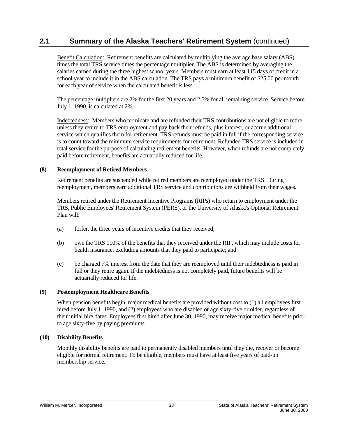Benefit Calculation: Retirement benefits are calculated by multiplying the average base salary (ABS) times the total TRS service times the percentage multiplier. The ABS is determined by averaging the salaries earned during the three highest school years. Members must earn at least 115 days of credit in a school year to include it in the ABS calculation. The TRS pays a minimum benefit of \$25.00 per month for each year of service when the calculated benefit is less.

The percentage multipliers are 2% for the first 20 years and 2.5% for all remaining service. Service before July 1, 1990, is calculated at 2%.

Indebtedness: Members who terminate and are refunded their TRS contributions are not eligible to retire, unless they return to TRS employment and pay back their refunds, plus interest, or accrue additional service which qualifies them for retirement. TRS refunds must be paid in full if the corresponding service is to count toward the minimum service requirements for retirement. Refunded TRS service is included in total service for the purpose of calculating retirement benefits. However, when refunds are not completely paid before retirement, benefits are actuarially reduced for life.

#### **(8) Reemployment of Retired Members**

Retirement benefits are suspended while retired members are reemployed under the TRS. During reemployment, members earn additional TRS service and contributions are withheld from their wages.

Members retired under the Retirement Incentive Programs (RIPs) who return to employment under the TRS, Public Employees' Retirement System (PERS), or the University of Alaska's Optional Retirement Plan will:

- (a) forfeit the three years of incentive credits that they received;
- (b) owe the TRS 110% of the benefits that they received under the RIP, which may include costs for health insurance, excluding amounts that they paid to participate; and
- (c) be charged 7% interest from the date that they are reemployed until their indebtedness is paid in full or they retire again. If the indebtedness is not completely paid, future benefits will be actuarially reduced for life.

#### **(9) Postemployment Healthcare Benefits**

When pension benefits begin, major medical benefits are provided without cost to (1) all employees first hired before July 1, 1990, and (2) employees who are disabled or age sixty-five or older, regardless of their initial hire dates. Employees first hired after June 30, 1990, may receive major medical benefits prior to age sixty-five by paying premiums.

#### **(10) Disability Benefits**

Monthly disability benefits are paid to permanently disabled members until they die, recover or become eligible for normal retirement. To be eligible, members must have at least five years of paid-up membership service.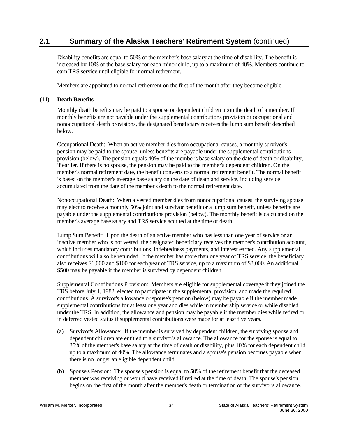Disability benefits are equal to 50% of the member's base salary at the time of disability. The benefit is increased by 10% of the base salary for each minor child, up to a maximum of 40%. Members continue to earn TRS service until eligible for normal retirement.

Members are appointed to normal retirement on the first of the month after they become eligible.

### **(11) Death Benefits**

Monthly death benefits may be paid to a spouse or dependent children upon the death of a member. If monthly benefits are not payable under the supplemental contributions provision or occupational and nonoccupational death provisions, the designated beneficiary receives the lump sum benefit described below.

Occupational Death: When an active member dies from occupational causes, a monthly survivor's pension may be paid to the spouse, unless benefits are payable under the supplemental contributions provision (below). The pension equals 40% of the member's base salary on the date of death or disability, if earlier. If there is no spouse, the pension may be paid to the member's dependent children. On the member's normal retirement date, the benefit converts to a normal retirement benefit. The normal benefit is based on the member's average base salary on the date of death and service, including service accumulated from the date of the member's death to the normal retirement date.

Nonoccupational Death: When a vested member dies from nonoccupational causes, the surviving spouse may elect to receive a monthly 50% joint and survivor benefit or a lump sum benefit, unless benefits are payable under the supplemental contributions provision (below). The monthly benefit is calculated on the member's average base salary and TRS service accrued at the time of death.

Lump Sum Benefit: Upon the death of an active member who has less than one year of service or an inactive member who is not vested, the designated beneficiary receives the member's contribution account, which includes mandatory contributions, indebtedness payments, and interest earned. Any supplemental contributions will also be refunded. If the member has more than one year of TRS service, the beneficiary also receives \$1,000 and \$100 for each year of TRS service, up to a maximum of \$3,000. An additional \$500 may be payable if the member is survived by dependent children.

Supplemental Contributions Provision: Members are eligible for supplemental coverage if they joined the TRS before July 1, 1982, elected to participate in the supplemental provision, and made the required contributions. A survivor's allowance or spouse's pension (below) may be payable if the member made supplemental contributions for at least one year and dies while in membership service or while disabled under the TRS. In addition, the allowance and pension may be payable if the member dies while retired or in deferred vested status if supplemental contributions were made for at least five years.

- (a) Survivor's Allowance: If the member is survived by dependent children, the surviving spouse and dependent children are entitled to a survivor's allowance. The allowance for the spouse is equal to 35% of the member's base salary at the time of death or disability, plus 10% for each dependent child up to a maximum of 40%. The allowance terminates and a spouse's pension becomes payable when there is no longer an eligible dependent child.
- (b) Spouse's Pension: The spouse's pension is equal to 50% of the retirement benefit that the deceased member was receiving or would have received if retired at the time of death. The spouse's pension begins on the first of the month after the member's death or termination of the survivor's allowance.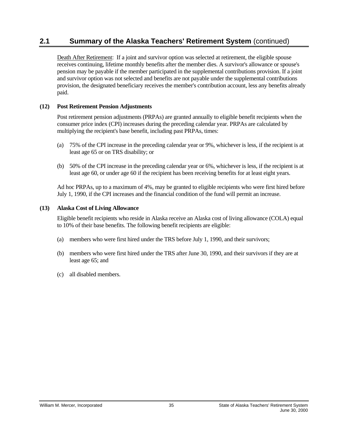Death After Retirement: If a joint and survivor option was selected at retirement, the eligible spouse receives continuing, lifetime monthly benefits after the member dies. A survivor's allowance or spouse's pension may be payable if the member participated in the supplemental contributions provision. If a joint and survivor option was not selected and benefits are not payable under the supplemental contributions provision, the designated beneficiary receives the member's contribution account, less any benefits already paid.

#### **(12) Post Retirement Pension Adjustments**

Post retirement pension adjustments (PRPAs) are granted annually to eligible benefit recipients when the consumer price index (CPI) increases during the preceding calendar year. PRPAs are calculated by multiplying the recipient's base benefit, including past PRPAs, times:

- (a) 75% of the CPI increase in the preceding calendar year or 9%, whichever is less, if the recipient is at least age 65 or on TRS disability; or
- (b) 50% of the CPI increase in the preceding calendar year or 6%, whichever is less, if the recipient is at least age 60, or under age 60 if the recipient has been receiving benefits for at least eight years.

Ad hoc PRPAs, up to a maximum of 4%, may be granted to eligible recipients who were first hired before July 1, 1990, if the CPI increases and the financial condition of the fund will permit an increase.

#### **(13) Alaska Cost of Living Allowance**

Eligible benefit recipients who reside in Alaska receive an Alaska cost of living allowance (COLA) equal to 10% of their base benefits. The following benefit recipients are eligible:

- (a) members who were first hired under the TRS before July 1, 1990, and their survivors;
- (b) members who were first hired under the TRS after June 30, 1990, and their survivors if they are at least age 65; and
- (c) all disabled members.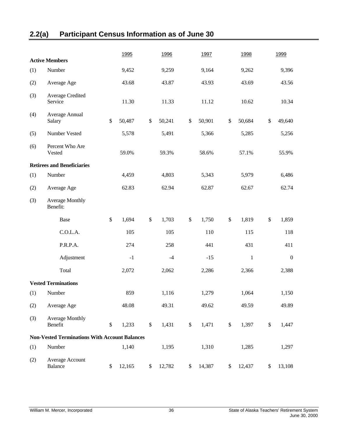## <span id="page-39-0"></span>**2.2(a) Participant Census Information as of June 30**

|     | <b>Active Members</b>                                |              | 1995   |               | 1996   |              | 1997   |        | 1998    |              | 1999             |  |
|-----|------------------------------------------------------|--------------|--------|---------------|--------|--------------|--------|--------|---------|--------------|------------------|--|
| (1) | Number                                               |              | 9,452  |               | 9,259  |              | 9,164  |        | 9,262   |              | 9,396            |  |
|     |                                                      |              |        |               |        |              |        |        |         |              |                  |  |
| (2) | Average Age                                          |              | 43.68  |               | 43.87  |              | 43.93  |        | 43.69   |              | 43.56            |  |
| (3) | Average Credited<br>Service                          |              | 11.30  |               | 11.33  |              | 11.12  |        | 10.62   |              | 10.34            |  |
| (4) | Average Annual<br>Salary                             | $\$\,$       | 50,487 | $\$$          | 50,241 | $\$\,$       | 50,901 | $\$\,$ | 50,684  | $\$\,$       | 49,640           |  |
| (5) | Number Vested                                        |              | 5,578  |               | 5,491  |              | 5,366  |        | 5,285   |              | 5,256            |  |
| (6) | Percent Who Are<br>Vested                            |              | 59.0%  |               | 59.3%  |              | 58.6%  |        | 57.1%   |              | 55.9%            |  |
|     | <b>Retirees and Beneficiaries</b>                    |              |        |               |        |              |        |        |         |              |                  |  |
| (1) | Number                                               |              | 4,459  |               | 4,803  |              | 5,343  |        | 5,979   |              | 6,486            |  |
| (2) | Average Age                                          |              | 62.83  |               | 62.94  |              | 62.87  |        | 62.67   |              | 62.74            |  |
| (3) | <b>Average Monthly</b><br>Benefit:                   |              |        |               |        |              |        |        |         |              |                  |  |
|     | Base                                                 | $\mathbb{S}$ | 1,694  | $\$$          | 1,703  | $\$$         | 1,750  | $\$$   | 1,819   | $\mathbb{S}$ | 1,859            |  |
|     | C.O.L.A.                                             |              | 105    |               | 105    |              | 110    |        | 115     |              | 118              |  |
|     | P.R.P.A.                                             |              | 274    |               | 258    |              | 441    |        | 431     |              | 411              |  |
|     | Adjustment                                           |              | $-1$   |               | $-4$   |              | $-15$  |        | $\,1\,$ |              | $\boldsymbol{0}$ |  |
|     | Total                                                |              | 2,072  |               | 2,062  |              | 2,286  |        | 2,366   |              | 2,388            |  |
|     | <b>Vested Terminations</b>                           |              |        |               |        |              |        |        |         |              |                  |  |
| (1) | Number                                               |              | 859    |               | 1,116  |              | 1,279  |        | 1,064   |              | 1,150            |  |
| (2) | Average Age                                          |              | 48.08  |               | 49.31  |              | 49.62  |        | 49.59   |              | 49.89            |  |
| (3) | <b>Average Monthly</b><br>Benefit                    | $\$$         | 1,233  | $\mathcal{S}$ | 1,431  | $\mathbb{S}$ | 1,471  | \$     | 1,397   | $\$$         | 1,447            |  |
|     | <b>Non-Vested Terminations With Account Balances</b> |              |        |               |        |              |        |        |         |              |                  |  |
| (1) | Number                                               |              | 1,140  |               | 1,195  |              | 1,310  |        | 1,285   |              | 1,297            |  |
| (2) | Average Account<br><b>Balance</b>                    | \$           | 12,165 | \$            | 12,782 | \$           | 14,387 | \$     | 12,437  | \$           | 13,108           |  |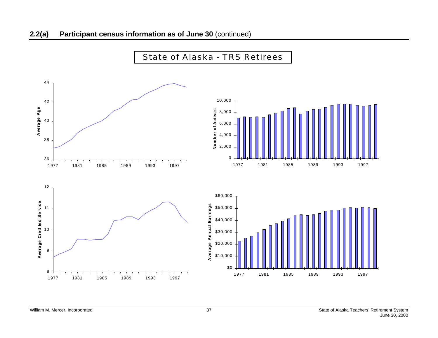

## State of Alaska - TRS Retirees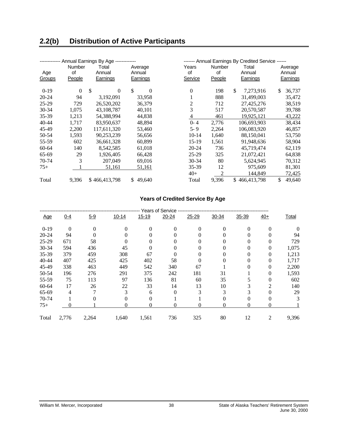<span id="page-41-0"></span>

|           |          | Annual Earnings By Age ------------ |                |           | ------- Annual Earnings By Credited Service ------ |                     |              |  |  |
|-----------|----------|-------------------------------------|----------------|-----------|----------------------------------------------------|---------------------|--------------|--|--|
|           | Number   | Total                               | Average        | Years     | Number                                             | Total               | Average      |  |  |
| Age       | of       | Annual                              | Annual         | of        | of                                                 | Annual              | Annual       |  |  |
| Groups    | People   | Earnings                            | Earnings       | Service   | <b>People</b>                                      | Earnings            | Earnings     |  |  |
|           |          |                                     |                |           |                                                    |                     |              |  |  |
| $0-19$    | $\Omega$ | $\mathcal{S}$<br>$\Omega$           | \$<br>$\Omega$ | $\theta$  | 198                                                | \$<br>7,273,916     | \$<br>36,737 |  |  |
| 20-24     | 94       | 3,192,091                           | 33.958         |           | 888                                                | 31.499.003          | 35,472       |  |  |
| $25-29$   | 729      | 26,520,202                          | 36,379         | 2         | 712                                                | 27,425,276          | 38,519       |  |  |
| 30-34     | 1,075    | 43,108,787                          | 40,101         | 3         | 517                                                | 20,570,587          | 39,788       |  |  |
| 35-39     | 1,213    | 54,388,994                          | 44,838         | 4         | 461                                                | 19.925.121          | 43,222       |  |  |
| $40 - 44$ | 1,717    | 83,950,637                          | 48,894         | $0 - 4$   | 2,776                                              | 106.693.903         | 38,434       |  |  |
| 45-49     | 2,200    | 117,611,320                         | 53,460         | $5 - 9$   | 2,264                                              | 106,083,920         | 46,857       |  |  |
| 50-54     | 1,593    | 90,253,239                          | 56,656         | $10-14$   | 1,640                                              | 88,150,041          | 53,750       |  |  |
| 55-59     | 602      | 36,661,328                          | 60,899         | 15-19     | 1,561                                              | 91,948,636          | 58,904       |  |  |
| 60-64     | 140      | 8,542,585                           | 61,018         | $20 - 24$ | 736                                                | 45,719,474          | 62,119       |  |  |
| 65-69     | 29       | 1,926,405                           | 66,428         | $25-29$   | 325                                                | 21,072,421          | 64,838       |  |  |
| 70-74     | 3        | 207,049                             | 69,016         | 30-34     | 80                                                 | 5,624,945           | 70,312       |  |  |
| $75+$     |          | 51,161                              | 51,161         | 35-39     | 12                                                 | 975,609             | 81,301       |  |  |
|           |          |                                     |                | $40+$     | 2                                                  | 144,849             | 72,425       |  |  |
| Total     | 9,396    | \$466,413,798                       | 49,640<br>\$.  | Total     | 9,396                                              | \$<br>466, 413, 798 | \$<br>49,640 |  |  |

#### **Years of Credited Service By Age**

|            | <b>Years of Service</b> |         |           |          |           |           |          |          |       |              |  |  |  |  |
|------------|-------------------------|---------|-----------|----------|-----------|-----------|----------|----------|-------|--------------|--|--|--|--|
| <u>Age</u> | $0 - 4$                 | $5 - 9$ | $10 - 14$ | 15-19    | $20 - 24$ | $25 - 29$ | 30-34    | 35-39    | $40+$ | <b>Total</b> |  |  |  |  |
| $0-19$     | $\Omega$                | 0       | 0         |          | 0         | 0         | $\Omega$ | 0        |       |              |  |  |  |  |
| $20 - 24$  | 94                      |         |           |          |           |           |          | $^{(1)}$ |       | 94           |  |  |  |  |
| 25-29      | 671                     | 58      | 0         |          |           |           |          | $^{(1)}$ | 0     | 729          |  |  |  |  |
| $30 - 34$  | 594                     | 436     | 45        | $\Omega$ |           |           |          | 0        | 0     | 1,075        |  |  |  |  |
| 35-39      | 379                     | 459     | 308       | 67       |           |           |          | 0        | 0     | 1,213        |  |  |  |  |
| $40 - 44$  | 407                     | 425     | 425       | 402      | 58        |           |          |          | 0     | 1,717        |  |  |  |  |
| 45-49      | 338                     | 463     | 449       | 542      | 340       | 67        |          |          | 0     | 2,200        |  |  |  |  |
| 50-54      | 196                     | 276     | 291       | 375      | 242       | 181       | 31       |          | 0     | 1,593        |  |  |  |  |
| 55-59      | 75                      | 113     | 97        | 136      | 81        | 60        | 35       |          | 0     | 602          |  |  |  |  |
| 60-64      | 17                      | 26      | 22        | 33       | 14        | 13        | 10       | 3        | 2     | 140          |  |  |  |  |
| 65-69      | 4                       |         | 3         | 6        |           | 3         | 3        | 3        |       | 29           |  |  |  |  |
| 70-74      |                         |         |           |          |           |           |          | 0        |       | 3            |  |  |  |  |
| $75+$      |                         |         | $^{(1)}$  | 0        | 0         | 0         | 0        | 0        | 0     |              |  |  |  |  |
| Total      | 2,776                   | 2,264   | 1,640     | 1,561    | 736       | 325       | 80       | 12       | 2     | 9,396        |  |  |  |  |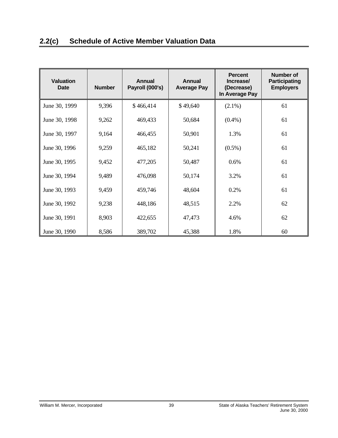<span id="page-42-0"></span>

| <b>Valuation</b><br>Date | <b>Number</b> | <b>Annual</b><br>Payroll (000's) | <b>Annual</b><br><b>Average Pay</b> | <b>Percent</b><br>Increase/<br>(Decrease)<br>In Average Pay | Number of<br>Participating<br><b>Employers</b> |
|--------------------------|---------------|----------------------------------|-------------------------------------|-------------------------------------------------------------|------------------------------------------------|
| June 30, 1999            | 9,396         | \$466,414                        | \$49,640                            | $(2.1\%)$                                                   | 61                                             |
| June 30, 1998            | 9,262         | 469,433                          | 50,684                              | $(0.4\%)$                                                   | 61                                             |
| June 30, 1997            | 9,164         | 466,455                          | 50,901                              | 1.3%                                                        | 61                                             |
| June 30, 1996            | 9,259         | 465,182                          | 50,241                              | $(0.5\%)$                                                   | 61                                             |
| June 30, 1995            | 9,452         | 477,205                          | 50,487                              | 0.6%                                                        | 61                                             |
| June 30, 1994            | 9,489         | 476,098                          | 50,174                              | 3.2%                                                        | 61                                             |
| June 30, 1993            | 9,459         | 459,746                          | 48,604                              | 0.2%                                                        | 61                                             |
| June 30, 1992            | 9,238         | 448,186                          | 48,515                              | 2.2%                                                        | 62                                             |
| June 30, 1991            | 8,903         | 422,655                          | 47,473                              | 4.6%                                                        | 62                                             |
| June 30, 1990            | 8,586         | 389,702                          | 45,388                              | 1.8%                                                        | 60                                             |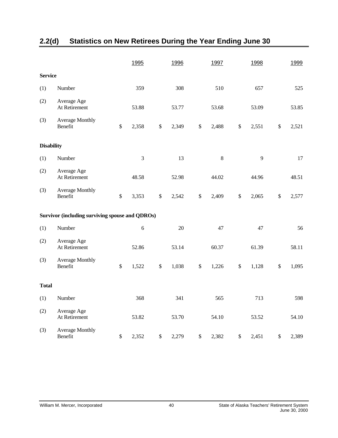|                   |                                                        |               | 1995       |      | 1996  |               | 1997    |      | 1998  |      | 1999  |
|-------------------|--------------------------------------------------------|---------------|------------|------|-------|---------------|---------|------|-------|------|-------|
| <b>Service</b>    |                                                        |               |            |      |       |               |         |      |       |      |       |
| (1)               | Number                                                 |               | 359        |      | 308   |               | 510     |      | 657   |      | 525   |
| (2)               | Average Age<br>At Retirement                           |               | 53.88      |      | 53.77 |               | 53.68   |      | 53.09 |      | 53.85 |
| (3)               | <b>Average Monthly</b><br>Benefit                      | $\mathcal{S}$ | 2,358      | $\$$ | 2,349 | $\mathsf{\$}$ | 2,488   | $\$$ | 2,551 | $\$$ | 2,521 |
| <b>Disability</b> |                                                        |               |            |      |       |               |         |      |       |      |       |
| (1)               | Number                                                 |               | 3          |      | 13    |               | $\,8\,$ |      | 9     |      | 17    |
| (2)               | Average Age<br>At Retirement                           |               | 48.58      |      | 52.98 |               | 44.02   |      | 44.96 |      | 48.51 |
| (3)               | <b>Average Monthly</b><br>Benefit                      | $\mathbb{S}$  | 3,353      | \$   | 2,542 | \$            | 2,409   | $\$$ | 2,065 | $\$$ | 2,577 |
|                   | <b>Survivor (including surviving spouse and QDROs)</b> |               |            |      |       |               |         |      |       |      |       |
| (1)               | Number                                                 |               | $\sqrt{6}$ |      | 20    |               | 47      |      | 47    |      | 56    |
| (2)               | Average Age<br>At Retirement                           |               | 52.86      |      | 53.14 |               | 60.37   |      | 61.39 |      | 58.11 |
| (3)               | Average Monthly<br>Benefit                             | $\mathcal{S}$ | 1,522      | \$   | 1,038 | $\$$          | 1,226   | \$   | 1,128 | $\$$ | 1,095 |
| <b>Total</b>      |                                                        |               |            |      |       |               |         |      |       |      |       |
| (1)               | Number                                                 |               | 368        |      | 341   |               | 565     |      | 713   |      | 598   |
| (2)               | Average Age<br>At Retirement                           |               | 53.82      |      | 53.70 |               | 54.10   |      | 53.52 |      | 54.10 |
| (3)               | <b>Average Monthly</b><br>Benefit                      | $\$$          | 2,352      | \$   | 2,279 | $\$$          | 2,382   | $\$$ | 2,451 | $\$$ | 2,389 |

## <span id="page-43-0"></span>**2.2(d) Statistics on New Retirees During the Year Ending June 30**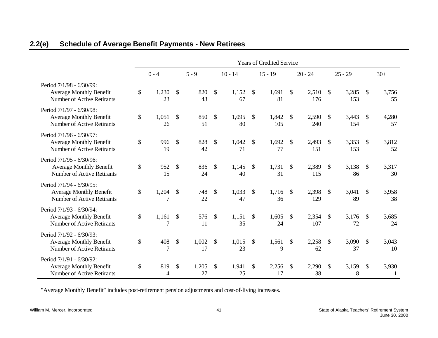|                                                                                                 | <b>Years of Credited Service</b> |                           |             |                           |             |               |              |              |              |               |              |               |             |
|-------------------------------------------------------------------------------------------------|----------------------------------|---------------------------|-------------|---------------------------|-------------|---------------|--------------|--------------|--------------|---------------|--------------|---------------|-------------|
|                                                                                                 | $0 - 4$                          |                           | $5 - 9$     |                           | $10 - 14$   |               | $15 - 19$    |              | $20 - 24$    |               | $25 - 29$    |               | $30+$       |
| Period 7/1/98 - 6/30/99:<br><b>Average Monthly Benefit</b><br>Number of Active Retirants        | \$<br>1,230<br>23                | \$                        | 820<br>43   | $\mathcal{S}$             | 1,152<br>67 | \$            | 1,691<br>81  | \$           | 2,510<br>176 | \$            | 3,285<br>153 | $\mathbb{S}$  | 3,756<br>55 |
| Period 7/1/97 - 6/30/98:<br><b>Average Monthly Benefit</b><br><b>Number of Active Retirants</b> | \$<br>1,051<br>26                | $\mathbb{S}$              | 850<br>51   | $\mathbb{S}$              | 1,095<br>80 | $\mathbb{S}$  | 1,842<br>105 | $\mathbb{S}$ | 2,590<br>240 | $\mathcal{S}$ | 3,443<br>154 | $\mathcal{S}$ | 4,280<br>57 |
| Period 7/1/96 - 6/30/97:<br><b>Average Monthly Benefit</b><br><b>Number of Active Retirants</b> | \$<br>996<br>19                  | $\mathcal{S}$             | 828<br>42   | $\mathbb{S}$              | 1,042<br>71 | $\mathbb{S}$  | 1,692<br>77  | $\mathbb{S}$ | 2,493<br>151 | $\mathbb{S}$  | 3,353<br>153 | $\mathbb{S}$  | 3,812<br>52 |
| Period 7/1/95 - 6/30/96:<br><b>Average Monthly Benefit</b><br><b>Number of Active Retirants</b> | \$<br>952<br>15                  | \$                        | 836<br>24   | $\mathcal{S}$             | 1,145<br>40 | $\mathbb{S}$  | 1,731<br>31  | $\mathbb{S}$ | 2,389<br>115 | $\mathbb{S}$  | 3,138<br>86  | $\mathbb{S}$  | 3,317<br>30 |
| Period 7/1/94 - 6/30/95:<br><b>Average Monthly Benefit</b><br><b>Number of Active Retirants</b> | \$<br>1,204<br>7                 | $\frac{1}{2}$             | 748<br>22   | $\mathcal{S}$             | 1,033<br>47 | \$            | 1,716<br>36  | $\mathbb{S}$ | 2,398<br>129 | $\mathcal{S}$ | 3,041<br>89  | $\mathbb{S}$  | 3,958<br>38 |
| Period 7/1/93 - 6/30/94:<br><b>Average Monthly Benefit</b><br><b>Number of Active Retirants</b> | \$<br>1,161<br>7                 | \$                        | 576<br>11   | $\mathbb{S}$              | 1,151<br>35 | \$            | 1,605<br>24  | \$           | 2,354<br>107 | $\mathbb{S}$  | 3,176<br>72  | $\mathcal{S}$ | 3,685<br>24 |
| Period 7/1/92 - 6/30/93:<br><b>Average Monthly Benefit</b><br><b>Number of Active Retirants</b> | \$<br>408<br>7                   | $\boldsymbol{\mathsf{S}}$ | 1,002<br>17 | $\boldsymbol{\mathsf{S}}$ | 1,015<br>23 | $\mathcal{S}$ | 1,561<br>9   | \$           | 2,258<br>62  | $\mathcal{S}$ | 3,090<br>37  | $\mathcal{S}$ | 3,043<br>10 |
| Period 7/1/91 - 6/30/92:<br><b>Average Monthly Benefit</b><br><b>Number of Active Retirants</b> | \$<br>819<br>$\overline{4}$      | $\mathcal{S}$             | 1,205<br>27 | $\mathcal{S}$             | 1,941<br>25 | \$            | 2,256<br>17  | \$           | 2,290<br>38  | $\mathbb{S}$  | 3,159<br>8   | $\mathbb{S}$  | 3,930       |

## **2.2(e) Schedule of Average Benefit Payments - New Retirees**

<span id="page-44-0"></span>"Average Monthly Benefit" includes post-retirement pension adjustments and cost-of-living increases.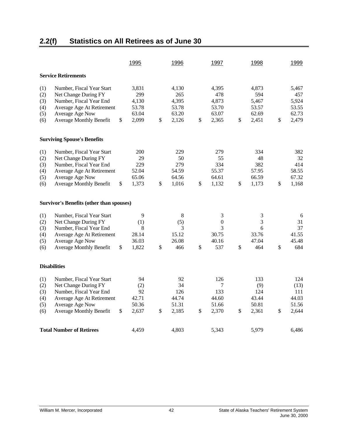## <span id="page-45-0"></span>**2.2(f) Statistics on All Retirees as of June 30**

|                                                                           |                                                                                                                                                                                                                                                                                                                                                   | <u>1995</u>                                                                          | 1996                                                                                                  |          | 1997                                                                                               | 1998                                                                                      |          | 1999                                                                                  |
|---------------------------------------------------------------------------|---------------------------------------------------------------------------------------------------------------------------------------------------------------------------------------------------------------------------------------------------------------------------------------------------------------------------------------------------|--------------------------------------------------------------------------------------|-------------------------------------------------------------------------------------------------------|----------|----------------------------------------------------------------------------------------------------|-------------------------------------------------------------------------------------------|----------|---------------------------------------------------------------------------------------|
|                                                                           | <b>Service Retirements</b>                                                                                                                                                                                                                                                                                                                        |                                                                                      |                                                                                                       |          |                                                                                                    |                                                                                           |          |                                                                                       |
| (1)<br>(2)<br>(3)<br>(4)<br>(5)<br>(6)                                    | Number, Fiscal Year Start<br>Net Change During FY<br>Number, Fiscal Year End<br>Average Age At Retirement<br>Average Age Now<br><b>Average Monthly Benefit</b>                                                                                                                                                                                    | \$<br>3,831<br>299<br>4,130<br>53.78<br>63.04<br>2,099                               | \$<br>4,130<br>265<br>4,395<br>53.78<br>63.20<br>2,126                                                | \$       | 4,395<br>478<br>4,873<br>53.70<br>63.07<br>2,365                                                   | \$<br>4,873<br>594<br>5,467<br>53.57<br>62.69<br>2,451                                    | \$       | 5,467<br>457<br>5,924<br>53.55<br>62.73<br>2,479                                      |
|                                                                           | <b>Surviving Spouse's Benefits</b>                                                                                                                                                                                                                                                                                                                |                                                                                      |                                                                                                       |          |                                                                                                    |                                                                                           |          |                                                                                       |
| (1)<br>(2)<br>(3)<br>(4)<br>(5)<br>(6)<br>(1)<br>(2)<br>(3)<br>(4)<br>(5) | Number, Fiscal Year Start<br>Net Change During FY<br>Number, Fiscal Year End<br>Average Age At Retirement<br>Average Age Now<br><b>Average Monthly Benefit</b><br><b>Survivor's Benefits (other than spouses)</b><br>Number, Fiscal Year Start<br>Net Change During FY<br>Number, Fiscal Year End<br>Average Age At Retirement<br>Average Age Now | \$<br>200<br>29<br>229<br>52.04<br>65.06<br>1,373<br>9<br>(1)<br>8<br>28.14<br>36.03 | \$<br>229<br>50<br>279<br>54.59<br>64.56<br>1,016<br>$\,$ 8 $\,$<br>(5)<br>3<br>15.12<br>26.08<br>466 | \$<br>\$ | 279<br>55<br>334<br>55.37<br>64.61<br>1,132<br>3<br>$\boldsymbol{0}$<br>3<br>30.75<br>40.16<br>537 | \$<br>334<br>48<br>382<br>57.95<br>66.59<br>1,173<br>3<br>3<br>6<br>33.76<br>47.04<br>464 | \$<br>\$ | 382<br>32<br>414<br>58.55<br>67.32<br>1,168<br>6<br>31<br>37<br>41.55<br>45.48<br>684 |
| (6)                                                                       | <b>Average Monthly Benefit</b>                                                                                                                                                                                                                                                                                                                    | \$<br>1,822                                                                          | \$                                                                                                    |          |                                                                                                    | \$                                                                                        |          |                                                                                       |
| <b>Disabilities</b>                                                       |                                                                                                                                                                                                                                                                                                                                                   |                                                                                      |                                                                                                       |          |                                                                                                    |                                                                                           |          |                                                                                       |
| (1)<br>(2)<br>(3)<br>(4)<br>(5)<br>(6)                                    | Number, Fiscal Year Start<br>Net Change During FY<br>Number, Fiscal Year End<br>Average Age At Retirement<br>Average Age Now<br><b>Average Monthly Benefit</b>                                                                                                                                                                                    | \$<br>94<br>(2)<br>92<br>42.71<br>50.36<br>2,637                                     | \$<br>92<br>34<br>126<br>44.74<br>51.31<br>2,185                                                      | \$       | 126<br>7<br>133<br>44.60<br>51.66<br>2,370                                                         | \$<br>133<br>(9)<br>124<br>43.44<br>50.81<br>2,361                                        | \$       | 124<br>(13)<br>111<br>44.03<br>51.56<br>2,644                                         |
|                                                                           | <b>Total Number of Retirees</b>                                                                                                                                                                                                                                                                                                                   | 4,459                                                                                | 4,803                                                                                                 |          | 5,343                                                                                              | 5,979                                                                                     |          | 6,486                                                                                 |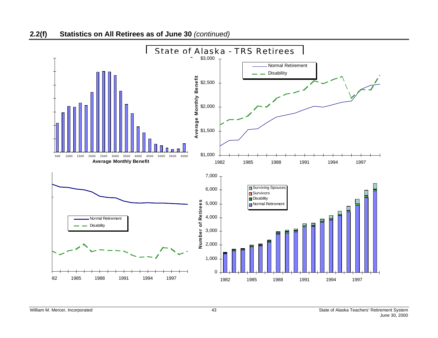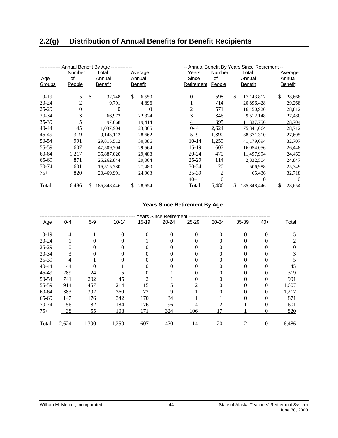<span id="page-47-0"></span>

|               | Annual Benefit By Age         |               |                                   |              |                              |                              |                               |               | -- Annual Benefit By Years Since Retirement -- |                                     |
|---------------|-------------------------------|---------------|-----------------------------------|--------------|------------------------------|------------------------------|-------------------------------|---------------|------------------------------------------------|-------------------------------------|
| Age<br>Groups | <b>Number</b><br>of<br>People |               | Total<br>Annual<br><b>Benefit</b> |              | Average<br>Annual<br>Benefit | Years<br>Since<br>Retirement | <b>Number</b><br>of<br>People |               | Total<br>Annual<br><b>Benefit</b>              | Average<br>Annual<br><b>Benefit</b> |
| $0-19$        | 5                             | <sup>\$</sup> | 32,748                            | $\mathbb{S}$ | 6,550                        | $\theta$                     | 598                           | <sup>\$</sup> | 17,143,812                                     | \$<br>28,668                        |
| 20-24         | 2                             |               | 9,791                             |              | 4,896                        |                              | 714                           |               | 20,896,428                                     | 29,268                              |
| $25-29$       | $\theta$                      |               | 0                                 |              | $\Omega$                     | 2                            | 571                           |               | 16,450,920                                     | 28,812                              |
| $30 - 34$     | 3                             |               | 66,972                            |              | 22,324                       | 3                            | 346                           |               | 9,512,148                                      | 27,480                              |
| 35-39         | 5                             |               | 97,068                            |              | 19,414                       | 4                            | 395                           |               | 11,337,756                                     | 28,704                              |
| 40-44         | 45                            |               | 1,037,904                         |              | 23,065                       | $0 - 4$                      | 2,624                         |               | 75,341,064                                     | 28,712                              |
| 45-49         | 319                           |               | 9,143,112                         |              | 28,662                       | $5 - 9$                      | 1,390                         |               | 38, 371, 310                                   | 27,605                              |
| 50-54         | 991                           |               | 29,815,512                        |              | 30,086                       | $10-14$                      | 1,259                         |               | 41,179,094                                     | 32,707                              |
| 55-59         | 1,607                         |               | 47,509,704                        |              | 29,564                       | $15-19$                      | 607                           |               | 16,054,056                                     | 26,448                              |
| 60-64         | 1,217                         |               | 35,887,020                        |              | 29.488                       | 20-24                        | 470                           |               | 11,497,994                                     | 24,463                              |
| 65-69         | 871                           |               | 25,262,844                        |              | 29,004                       | 25-29                        | 114                           |               | 2,832,504                                      | 24,847                              |
| 70-74         | 601                           |               | 16,515,780                        |              | 27,480                       | $30 - 34$                    | 20                            |               | 506,988                                        | 25,349                              |
| $75+$         | 820                           |               | 20,469,991                        |              | 24,963                       | 35-39                        | $\overline{2}$                |               | 65,436                                         | 32,718                              |
|               |                               |               |                                   |              |                              | $40+$                        | 0                             |               | 0                                              | $\Omega$                            |
| Total         | 6,486                         | S             | 185,848,446                       | S.           | 28,654                       | Total                        | 6,486                         | \$            | 185,848,446                                    | \$<br>28,654                        |

### **Years Since Retirement By Age**

|            |         |         |           |           | <b>Years Since Retirement</b> |           |          |          |       |              |
|------------|---------|---------|-----------|-----------|-------------------------------|-----------|----------|----------|-------|--------------|
| <u>Age</u> | $0 - 4$ | $5 - 9$ | $10 - 14$ | $15 - 19$ | $20 - 24$                     | $25 - 29$ | 30-34    | 35-39    | $40+$ | <b>Total</b> |
| $0-19$     | 4       |         | 0         | 0         | 0                             | 0         | $\theta$ | $\Omega$ | 0     |              |
| $20 - 24$  |         |         |           |           |                               |           |          | $^{(1)}$ |       |              |
| $25-29$    | 0       |         |           |           |                               |           |          | $^{(1)}$ |       |              |
| 30-34      | 3       |         |           |           |                               |           |          | 0        |       |              |
| 35-39      | 4       |         |           |           |                               |           |          | $^{(1)}$ |       |              |
| 40-44      | 44      |         |           |           |                               |           |          | 0        |       | 45           |
| 45-49      | 289     | 24      |           |           |                               |           |          |          |       | 319          |
| 50-54      | 741     | 202     | 45        |           |                               |           |          |          |       | 991          |
| 55-59      | 914     | 457     | 214       | 15        |                               |           |          |          | 0     | 1,607        |
| 60-64      | 383     | 392     | 360       | 72        |                               |           |          | 0        | 0     | 1,217        |
| 65-69      | 147     | 176     | 342       | 170       | 34                            |           |          |          | 0     | 871          |
| 70-74      | 56      | 82      | 184       | 176       | 96                            |           |          |          | 0     | 601          |
| $75+$      | 38      | 55      | 108       | 171       | 324                           | 106       | 17       |          | 0     | 820          |
| Total      | 2,624   | 1,390   | 1,259     | 607       | 470                           | 114       | 20       |          | 0     | 6,486        |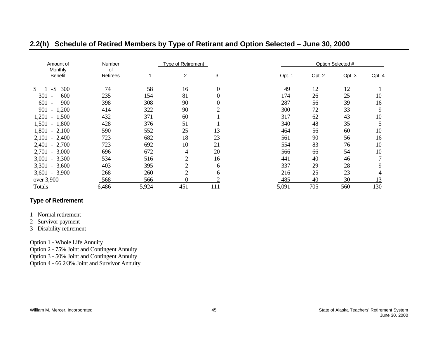| Amount of                              | <b>Number</b>  |         | <b>Type of Retirement</b> |               |        |        | Option Selected # |        |
|----------------------------------------|----------------|---------|---------------------------|---------------|--------|--------|-------------------|--------|
| Monthly<br><b>Benefit</b>              | of<br>Retirees | $\perp$ | $\overline{2}$            | $\frac{3}{2}$ | Opt. 1 | Opt. 2 | Opt. $3$          | Opt. 4 |
| $-$ \$<br>300<br>\$                    | 74             | 58      | 16                        | 0             | 49     | 12     | 12                |        |
| 301<br>600<br>$\overline{\phantom{a}}$ | 235            | 154     | 81                        | $\theta$      | 174    | 26     | 25                | 10     |
| 601<br>900<br>$\overline{\phantom{a}}$ | 398            | 308     | 90                        | 0             | 287    | 56     | 39                | 16     |
| 1,200<br>901<br>$\sim$                 | 414            | 322     | 90                        |               | 300    | 72     | 33                | 9      |
| $1,201 - 1,500$                        | 432            | 371     | 60                        |               | 317    | 62     | 43                | 10     |
| $1,501 - 1,800$                        | 428            | 376     | 51                        |               | 340    | 48     | 35                | 5      |
| $1,801 - 2,100$                        | 590            | 552     | 25                        | 13            | 464    | 56     | 60                | 10     |
| $2,101 - 2,400$                        | 723            | 682     | 18                        | 23            | 561    | 90     | 56                | 16     |
| $2,401 - 2,700$                        | 723            | 692     | 10                        | 21            | 554    | 83     | 76                | 10     |
| $2,701 - 3,000$                        | 696            | 672     | 4                         | 20            | 566    | 66     | 54                | 10     |
| $3,001 - 3,300$                        | 534            | 516     | $\overline{2}$            | 16            | 441    | 40     | 46                | 7      |
| $3,301 - 3,600$                        | 403            | 395     | $\overline{2}$            | 6             | 337    | 29     | 28                | 9      |
| $3,601 - 3,900$                        | 268            | 260     | $\overline{2}$            | 6             | 216    | 25     | 23                | 4      |
| over 3,900                             | 568            | 566     | $\theta$                  |               | 485    | 40     | 30                | 13     |
| Totals                                 | 6,486          | 5,924   | 451                       | 111           | 5,091  | 705    | 560               | 130    |

### **2.2(h) Schedule of Retired Members by Type of Retirant and Option Selected – June 30, 2000**

### **Type of Retirement**

1 - Normal retirement

2 - Survivor payment

3 - Disability retirement

Option 1 - Whole Life Annuity

Option 2 - 75% Joint and Contingent Annuity

Option 3 - 50% Joint and Contingent Annuity

<span id="page-48-0"></span>Option 4 - 66 2/3% Joint and Survivor Annuity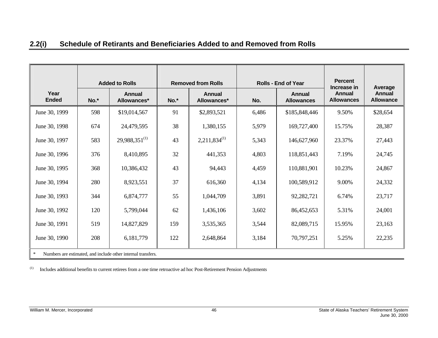| 2.2(i) | Schedule of Retirants and Beneficiaries Added to and Removed from Rolls |
|--------|-------------------------------------------------------------------------|
|--------|-------------------------------------------------------------------------|

|                      | <b>Added to Rolls</b> |                                                              | <b>Removed from Rolls</b> |                              |       | <b>Rolls - End of Year</b>  | <b>Percent</b><br>Increase in | Average                           |  |
|----------------------|-----------------------|--------------------------------------------------------------|---------------------------|------------------------------|-------|-----------------------------|-------------------------------|-----------------------------------|--|
| Year<br><b>Ended</b> | No.*                  | Annual<br>Allowances*                                        | No.*                      | <b>Annual</b><br>Allowances* | No.   | Annual<br><b>Allowances</b> |                               | <b>Annual</b><br><b>Allowance</b> |  |
| June 30, 1999        | 598                   | \$19,014,567                                                 | 91                        | \$2,893,521                  | 6,486 | \$185,848,446               | 9.50%                         | \$28,654                          |  |
| June 30, 1998        | 674                   | 24,479,595                                                   | 38                        | 1,380,155                    | 5,979 | 169,727,400                 | 15.75%                        | 28,387                            |  |
| June 30, 1997        | 583                   | $29,988,351^{(1)}$                                           | 43                        | $2,211,834^{(1)}$            | 5,343 | 146,627,960                 | 23.37%                        | 27,443                            |  |
| June 30, 1996        | 376                   | 8,410,895                                                    | 32                        | 441,353                      | 4,803 | 118,851,443                 | 7.19%                         | 24,745                            |  |
| June 30, 1995        | 368                   | 10,386,432                                                   | 43                        | 94,443                       | 4,459 | 110,881,901                 | 10.23%                        | 24,867                            |  |
| June 30, 1994        | 280                   | 8,923,551                                                    | 37                        | 616,360                      | 4,134 | 100,589,912                 | 9.00%                         | 24,332                            |  |
| June 30, 1993        | 344                   | 6,874,777                                                    | 55                        | 1,044,709                    | 3,891 | 92,282,721                  | 6.74%                         | 23,717                            |  |
| June 30, 1992        | 120                   | 5,799,044                                                    | 62                        | 1,436,106                    | 3,602 | 86,452,653                  | 5.31%                         | 24,001                            |  |
| June 30, 1991        | 519                   | 14,827,829                                                   | 159                       | 3,535,365                    | 3,544 | 82,089,715                  | 15.95%                        | 23,163                            |  |
| June 30, 1990        | 208                   | 6,181,779                                                    | 122                       | 2,648,864                    | 3,184 | 70,797,251                  | 5.25%                         | 22,235                            |  |
| $\ast$               |                       | Numbers are estimated, and include other internal transfers. |                           |                              |       |                             |                               |                                   |  |

<span id="page-49-0"></span>(1) Includes additional benefits to current retirees from a one time retroactive ad hoc Post-Retirement Pension Adjustments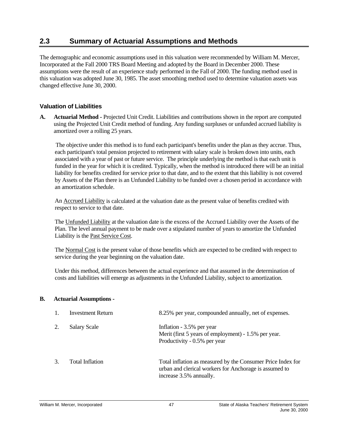### <span id="page-50-0"></span>**2.3 Summary of Actuarial Assumptions and Methods**

The demographic and economic assumptions used in this valuation were recommended by William M. Mercer, Incorporated at the Fall 2000 TRS Board Meeting and adopted by the Board in December 2000. These assumptions were the result of an experience study performed in the Fall of 2000. The funding method used in this valuation was adopted June 30, 1985. The asset smoothing method used to determine valuation assets was changed effective June 30, 2000.

### **Valuation of Liabilities**

**A. Actuarial Method -** Projected Unit Credit. Liabilities and contributions shown in the report are computed using the Projected Unit Credit method of funding. Any funding surpluses or unfunded accrued liability is amortized over a rolling 25 years.

The objective under this method is to fund each participant's benefits under the plan as they accrue. Thus, each participant's total pension projected to retirement with salary scale is broken down into units, each associated with a year of past or future service. The principle underlying the method is that each unit is funded in the year for which it is credited. Typically, when the method is introduced there will be an initial liability for benefits credited for service prior to that date, and to the extent that this liability is not covered by Assets of the Plan there is an Unfunded Liability to be funded over a chosen period in accordance with an amortization schedule.

An Accrued Liability is calculated at the valuation date as the present value of benefits credited with respect to service to that date.

The Unfunded Liability at the valuation date is the excess of the Accrued Liability over the Assets of the Plan. The level annual payment to be made over a stipulated number of years to amortize the Unfunded Liability is the Past Service Cost.

The Normal Cost is the present value of those benefits which are expected to be credited with respect to service during the year beginning on the valuation date.

Under this method, differences between the actual experience and that assumed in the determination of costs and liabilities will emerge as adjustments in the Unfunded Liability, subject to amortization.

#### **B. Actuarial Assumptions -**

| 1. | <b>Investment Return</b> | 8.25% per year, compounded annually, net of expenses.                                                                                            |
|----|--------------------------|--------------------------------------------------------------------------------------------------------------------------------------------------|
| 2. | <b>Salary Scale</b>      | Inflation - 3.5% per year<br>Merit (first 5 years of employment) - 1.5% per year.<br>Productivity - 0.5% per year                                |
| 3  | Total Inflation          | Total inflation as measured by the Consumer Price Index for<br>urban and clerical workers for Anchorage is assumed to<br>increase 3.5% annually. |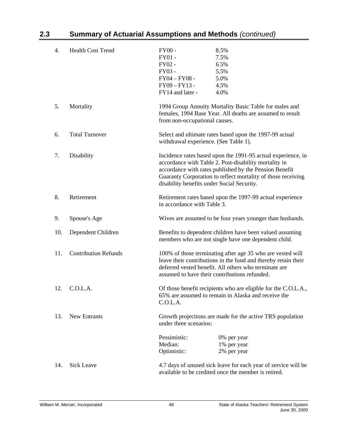| 4.  | <b>Health Cost Trend</b>    | $FY00 -$                                                                                                                                                                                                                                                                                      | 8.5%                                                                                                                   |  |  |  |
|-----|-----------------------------|-----------------------------------------------------------------------------------------------------------------------------------------------------------------------------------------------------------------------------------------------------------------------------------------------|------------------------------------------------------------------------------------------------------------------------|--|--|--|
|     |                             | $FY01 -$                                                                                                                                                                                                                                                                                      | 7.5%                                                                                                                   |  |  |  |
|     |                             | FY02 -                                                                                                                                                                                                                                                                                        | 6.5%                                                                                                                   |  |  |  |
|     |                             | FY03 -                                                                                                                                                                                                                                                                                        | 5.5%                                                                                                                   |  |  |  |
|     |                             | $FY04 - FY08 -$                                                                                                                                                                                                                                                                               | 5.0%                                                                                                                   |  |  |  |
|     |                             | FY09-FY13-                                                                                                                                                                                                                                                                                    | 4.5%                                                                                                                   |  |  |  |
|     |                             | FY14 and later -                                                                                                                                                                                                                                                                              | 4.0%                                                                                                                   |  |  |  |
| 5.  | Mortality                   | from non-occupational causes.                                                                                                                                                                                                                                                                 | 1994 Group Annuity Mortality Basic Table for males and<br>females, 1994 Base Year. All deaths are assumed to result    |  |  |  |
| 6.  | <b>Total Turnover</b>       | withdrawal experience. (See Table 1).                                                                                                                                                                                                                                                         | Select and ultimate rates based upon the 1997-99 actual                                                                |  |  |  |
| 7.  | Disability                  | Incidence rates based upon the 1991-95 actual experience, in<br>accordance with Table 2. Post-disability mortality in<br>accordance with rates published by the Pension Benefit<br>Guaranty Corporation to reflect mortality of those receiving<br>disability benefits under Social Security. |                                                                                                                        |  |  |  |
| 8.  | Retirement                  | Retirement rates based upon the 1997-99 actual experience<br>in accordance with Table 3.                                                                                                                                                                                                      |                                                                                                                        |  |  |  |
| 9.  | Spouse's Age                | Wives are assumed to be four years younger than husbands.                                                                                                                                                                                                                                     |                                                                                                                        |  |  |  |
| 10. | Dependent Children          | Benefits to dependent children have been valued assuming<br>members who are not single have one dependent child.                                                                                                                                                                              |                                                                                                                        |  |  |  |
| 11. | <b>Contribution Refunds</b> | 100% of those terminating after age 35 who are vested will<br>leave their contributions in the fund and thereby retain their<br>deferred vested benefit. All others who terminate are<br>assumed to have their contributions refunded.                                                        |                                                                                                                        |  |  |  |
| 12. | C.O.L.A.                    | Of those benefit recipients who are eligible for the C.O.L.A.,<br>65% are assumed to remain in Alaska and receive the<br>C.O.L.A.                                                                                                                                                             |                                                                                                                        |  |  |  |
| 13. | <b>New Entrants</b>         | under three scenarios:                                                                                                                                                                                                                                                                        | Growth projections are made for the active TRS population                                                              |  |  |  |
|     |                             | Pessimistic:<br>Median:<br>Optimistic:                                                                                                                                                                                                                                                        | 0% per year<br>1% per year<br>2% per year                                                                              |  |  |  |
| 14. | <b>Sick Leave</b>           |                                                                                                                                                                                                                                                                                               | 4.7 days of unused sick leave for each year of service will be<br>available to be credited once the member is retired. |  |  |  |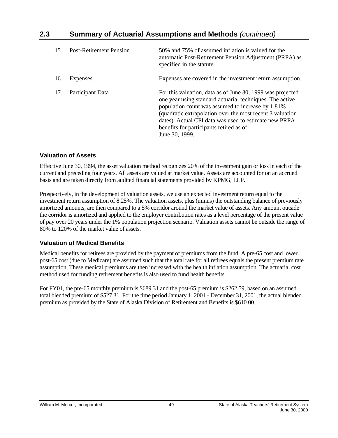| 15. | <b>Post-Retirement Pension</b> | 50% and 75% of assumed inflation is valued for the<br>automatic Post-Retirement Pension Adjustment (PRPA) as<br>specified in the statute.                                                                                                                                                                                                                      |
|-----|--------------------------------|----------------------------------------------------------------------------------------------------------------------------------------------------------------------------------------------------------------------------------------------------------------------------------------------------------------------------------------------------------------|
| 16. | Expenses                       | Expenses are covered in the investment return assumption.                                                                                                                                                                                                                                                                                                      |
| 17. | Participant Data               | For this valuation, data as of June 30, 1999 was projected<br>one year using standard actuarial techniques. The active<br>population count was assumed to increase by 1.81%<br>(quadratic extrapolation over the most recent 3 valuation<br>dates). Actual CPI data was used to estimate new PRPA<br>benefits for participants retired as of<br>June 30, 1999. |

### **Valuation of Assets**

Effective June 30, 1994, the asset valuation method recognizes 20% of the investment gain or loss in each of the current and preceding four years. All assets are valued at market value. Assets are accounted for on an accrued basis and are taken directly from audited financial statements provided by KPMG, LLP.

Prospectively, in the development of valuation assets, we use an expected investment return equal to the investment return assumption of 8.25%. The valuation assets, plus (minus) the outstanding balance of previously amortized amounts, are then compared to a 5% corridor around the market value of assets. Any amount outside the corridor is amortized and applied to the employer contribution rates as a level percentage of the present value of pay over 20 years under the 1% population projection scenario. Valuation assets cannot be outside the range of 80% to 120% of the market value of assets.

### **Valuation of Medical Benefits**

Medical benefits for retirees are provided by the payment of premiums from the fund. A pre-65 cost and lower post-65 cost (due to Medicare) are assumed such that the total rate for all retirees equals the present premium rate assumption. These medical premiums are then increased with the health inflation assumption. The actuarial cost method used for funding retirement benefits is also used to fund health benefits.

For FY01, the pre-65 monthly premium is \$689.31 and the post-65 premium is \$262.59, based on an assumed total blended premium of \$527.31. For the time period January 1, 2001 - December 31, 2001, the actual blended premium as provided by the State of Alaska Division of Retirement and Benefits is \$610.00.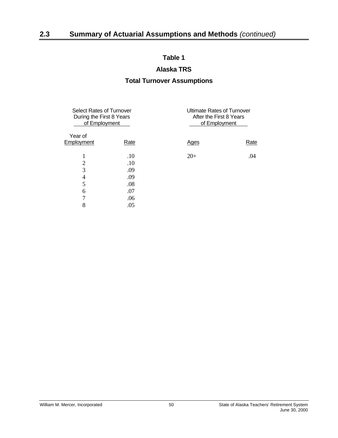### **Alaska TRS**

### **Total Turnover Assumptions**

<span id="page-53-0"></span>

| <b>Select Rates of Turnover</b><br>During the First 8 Years<br>of Employment |             | <b>Ultimate Rates of Turnover</b><br>After the First 8 Years<br>of Employment |      |  |  |
|------------------------------------------------------------------------------|-------------|-------------------------------------------------------------------------------|------|--|--|
| Year of<br>Employment                                                        | <u>Rate</u> | <b>Ages</b>                                                                   | Rate |  |  |
|                                                                              | .10         | $20+$                                                                         | .04  |  |  |
| $\overline{2}$                                                               | .10         |                                                                               |      |  |  |
| 3                                                                            | .09         |                                                                               |      |  |  |
| $\overline{4}$                                                               | .09         |                                                                               |      |  |  |
| 5                                                                            | .08         |                                                                               |      |  |  |
| 6                                                                            | .07         |                                                                               |      |  |  |
| 7                                                                            | .06         |                                                                               |      |  |  |
| 8                                                                            | .05         |                                                                               |      |  |  |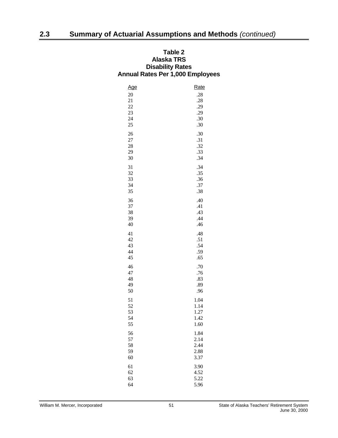### <span id="page-54-0"></span>**Table 2 Alaska TRS Disability Rates Annual Rates Per 1,000 Employees**

| <u>Age</u> | Rate |
|------------|------|
| $20\,$     | .28  |
| 21         | .28  |
| 22         | .29  |
| 23         | .29  |
| 24         | .30  |
| 25         | .30  |
|            |      |
| 26         | .30  |
| $27\,$     | .31  |
| 28         | .32  |
| 29         | .33  |
| 30         | .34  |
| 31         | .34  |
| 32         | .35  |
| 33         | .36  |
| 34         | .37  |
| 35         | .38  |
| 36         | .40  |
| 37         | .41  |
| 38         | .43  |
| 39         | .44  |
| 40         | .46  |
| 41         | .48  |
| 42         | .51  |
| 43         | .54  |
| 44         | .59  |
| 45         | .65  |
| 46         | .70  |
| 47         | .76  |
| 48         | .83  |
| 49         | .89  |
| 50         | .96  |
| 51         | 1.04 |
| 52         | 1.14 |
| 53         | 1.27 |
| 54         | 1.42 |
| 55         | 1.60 |
| 56         | 1.84 |
| 57         | 2.14 |
| 58         | 2.44 |
| 59         | 2.88 |
| 60         | 3.37 |
|            |      |
| 61         | 3.90 |
| 62         | 4.52 |
| 63         | 5.22 |
| 64         | 5.96 |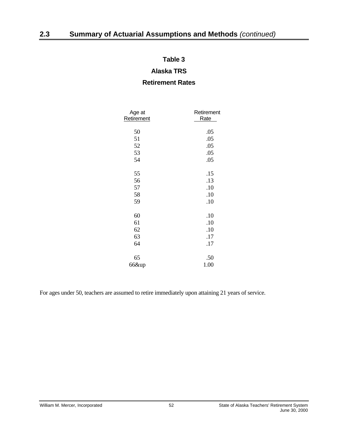### **Alaska TRS**

### **Retirement Rates**

<span id="page-55-0"></span>

| Age at<br>Retirement | Retirement<br>Rate |
|----------------------|--------------------|
|                      |                    |
| 50                   | .05                |
| 51                   | .05                |
| 52                   | .05                |
| 53                   | .05                |
| 54                   | .05                |
| 55                   | .15                |
| 56                   | .13                |
| 57                   | .10                |
| 58                   | .10                |
| 59                   | .10                |
| 60                   | $.10\,$            |
| 61                   | .10                |
| 62                   | .10                |
| 63                   | .17                |
| 64                   | .17                |
| 65                   | .50                |
| 66&up                | 1.00               |

For ages under 50, teachers are assumed to retire immediately upon attaining 21 years of service.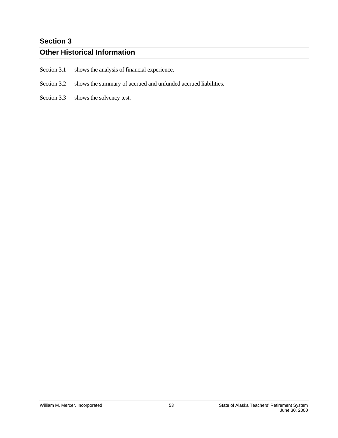## <span id="page-56-0"></span>**Section 3**

### **Other Historical Information**

- Section 3.1 shows the analysis of financial experience.
- Section 3.2 shows the summary of accrued and unfunded accrued liabilities.
- Section 3.3 shows the solvency test.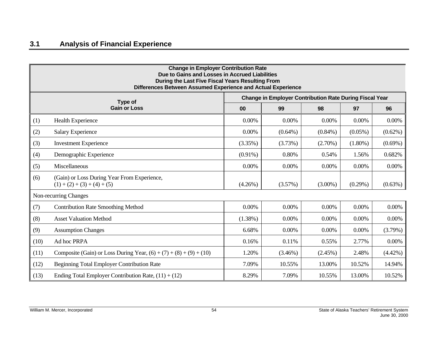<span id="page-57-0"></span>

|      | <b>Change in Employer Contribution Rate</b><br>Due to Gains and Losses in Accrued Liabilities<br>During the Last Five Fiscal Years Resulting From<br>Differences Between Assumed Experience and Actual Experience |            |                                                                |            |            |            |  |  |  |  |  |
|------|-------------------------------------------------------------------------------------------------------------------------------------------------------------------------------------------------------------------|------------|----------------------------------------------------------------|------------|------------|------------|--|--|--|--|--|
|      | Type of                                                                                                                                                                                                           |            | <b>Change in Employer Contribution Rate During Fiscal Year</b> |            |            |            |  |  |  |  |  |
|      | <b>Gain or Loss</b>                                                                                                                                                                                               | 00         | 99                                                             | 98         | 97         | 96         |  |  |  |  |  |
| (1)  | Health Experience                                                                                                                                                                                                 | 0.00%      | 0.00%                                                          | 0.00%      | 0.00%      | 0.00%      |  |  |  |  |  |
| (2)  | <b>Salary Experience</b>                                                                                                                                                                                          | 0.00%      | $(0.64\%)$                                                     | $(0.84\%)$ | $(0.05\%)$ | $(0.62\%)$ |  |  |  |  |  |
| (3)  | <b>Investment Experience</b>                                                                                                                                                                                      | (3.35%)    | (3.73%)                                                        | $(2.70\%)$ | $(1.80\%)$ | $(0.69\%)$ |  |  |  |  |  |
| (4)  | Demographic Experience                                                                                                                                                                                            | $(0.91\%)$ | 0.80%                                                          | 0.54%      | 1.56%      | 0.682%     |  |  |  |  |  |
| (5)  | Miscellaneous                                                                                                                                                                                                     | $0.00\%$   | 0.00%                                                          | $0.00\%$   | 0.00%      | 0.00%      |  |  |  |  |  |
| (6)  | (Gain) or Loss During Year From Experience,<br>$(1) + (2) + (3) + (4) + (5)$                                                                                                                                      | $(4.26\%)$ | (3.57%)                                                        | $(3.00\%)$ | $(0.29\%)$ | $(0.63\%)$ |  |  |  |  |  |
|      | Non-recurring Changes                                                                                                                                                                                             |            |                                                                |            |            |            |  |  |  |  |  |
| (7)  | <b>Contribution Rate Smoothing Method</b>                                                                                                                                                                         | 0.00%      | $0.00\%$                                                       | $0.00\%$   | 0.00%      | $0.00\%$   |  |  |  |  |  |
| (8)  | <b>Asset Valuation Method</b>                                                                                                                                                                                     | $(1.38\%)$ | 0.00%                                                          | 0.00%      | 0.00%      | $0.00\%$   |  |  |  |  |  |
| (9)  | <b>Assumption Changes</b>                                                                                                                                                                                         | 6.68%      | 0.00%                                                          | 0.00%      | 0.00%      | (3.79%)    |  |  |  |  |  |
| (10) | Ad hoc PRPA                                                                                                                                                                                                       | 0.16%      | 0.11%                                                          | 0.55%      | 2.77%      | $0.00\%$   |  |  |  |  |  |
| (11) | Composite (Gain) or Loss During Year, $(6) + (7) + (8) + (9) + (10)$                                                                                                                                              | 1.20%      | $(3.46\%)$                                                     | $(2.45\%)$ | 2.48%      | $(4.42\%)$ |  |  |  |  |  |
| (12) | <b>Beginning Total Employer Contribution Rate</b>                                                                                                                                                                 | 7.09%      | 10.55%                                                         | 13.00%     | 10.52%     | 14.94%     |  |  |  |  |  |
| (13) | Ending Total Employer Contribution Rate, $(11) + (12)$                                                                                                                                                            | 8.29%      | 7.09%                                                          | 10.55%     | 13.00%     | 10.52%     |  |  |  |  |  |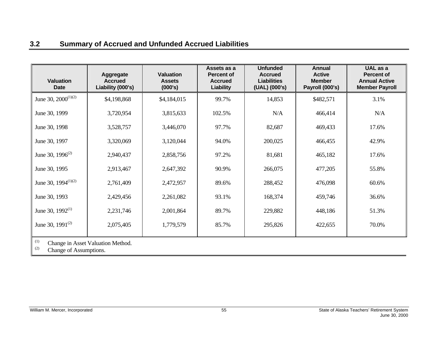## **3.2 Summary of Accrued and Unfunded Accrued Liabilities**

| <b>Valuation</b><br><b>Date</b> | Aggregate<br><b>Accrued</b><br>Liability (000's) | <b>Valuation</b><br><b>Assets</b><br>(000's) | Assets as a<br><b>Percent of</b><br><b>Accrued</b><br>Liability | <b>Unfunded</b><br><b>Accrued</b><br>Liabilities<br>(UAL) (000's) | Annual<br><b>Active</b><br><b>Member</b><br>Payroll (000's) | UAL as a<br><b>Percent of</b><br><b>Annual Active</b><br><b>Member Payroll</b> |
|---------------------------------|--------------------------------------------------|----------------------------------------------|-----------------------------------------------------------------|-------------------------------------------------------------------|-------------------------------------------------------------|--------------------------------------------------------------------------------|
| June 30, $2000^{(1)(2)}$        | \$4,198,868                                      | \$4,184,015                                  | 99.7%                                                           | 14,853                                                            | \$482,571                                                   | 3.1%                                                                           |
| June 30, 1999                   | 3,720,954                                        | 3,815,633                                    | 102.5%                                                          | N/A                                                               | 466,414                                                     | N/A                                                                            |
| June 30, 1998                   | 3,528,757                                        | 3,446,070                                    | 97.7%                                                           | 82,687                                                            | 469,433                                                     | 17.6%                                                                          |
| June 30, 1997                   | 3,320,069                                        | 3,120,044                                    | 94.0%                                                           | 200,025                                                           | 466,455                                                     | 42.9%                                                                          |
| June 30, $1996^{(2)}$           | 2,940,437                                        | 2,858,756                                    | 97.2%                                                           | 81,681                                                            | 465,182                                                     | 17.6%                                                                          |
| June 30, 1995                   | 2,913,467                                        | 2,647,392                                    | 90.9%                                                           | 266,075                                                           | 477,205                                                     | 55.8%                                                                          |
| June 30, $1994^{(1)(2)}$        | 2,761,409                                        | 2,472,957                                    | 89.6%                                                           | 288,452                                                           | 476,098                                                     | 60.6%                                                                          |
| June 30, 1993                   | 2,429,456                                        | 2,261,082                                    | 93.1%                                                           | 168,374                                                           | 459,746                                                     | 36.6%                                                                          |
| June 30, $1992^{(1)}$           | 2,231,746                                        | 2,001,864                                    | 89.7%                                                           | 229,882                                                           | 448,186                                                     | 51.3%                                                                          |
| June 30, $1991^{(2)}$           | 2,075,405                                        | 1,779,579                                    | 85.7%                                                           | 295,826                                                           | 422,655                                                     | 70.0%                                                                          |
|                                 |                                                  |                                              |                                                                 |                                                                   |                                                             |                                                                                |

 $\begin{bmatrix} (1) \\ (2) \end{bmatrix}$  Change in Asset Valuation Method.

<span id="page-58-0"></span>Change of Assumptions.